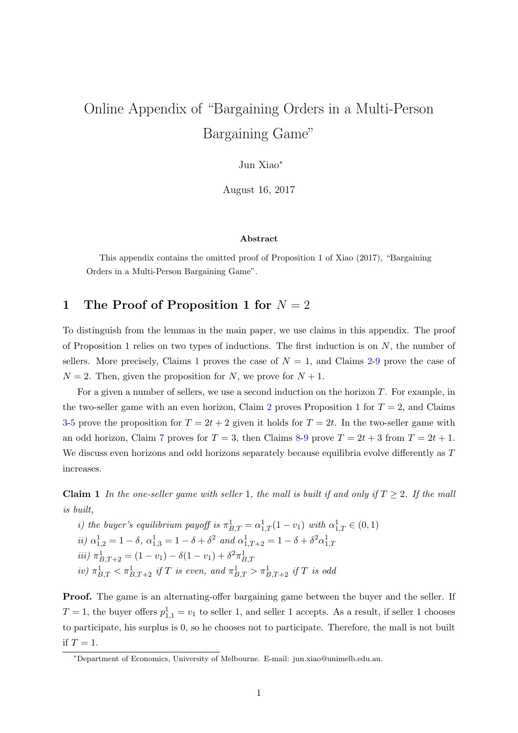# Online Appendix of "Bargaining Orders in a Multi-Person Bargaining Game"

Jun Xiao<sup>∗</sup>

August 16, 2017

#### Abstract

This appendix contains the omitted proof of Proposition 1 of Xiao (2017), "Bargaining Orders in a Multi-Person Bargaining Game".

## 1 The Proof of Proposition 1 for  $N = 2$

To distinguish from the lemmas in the main paper, we use claims in this appendix. The proof of Proposition 1 relies on two types of inductions. The first induction is on  $N$ , the number of sellers. More precisely, Claims [1](#page-0-0) proves the case of  $N = 1$ , and Claims [2-](#page-2-0)[9](#page-15-0) prove the case of  $N = 2$ . Then, given the proposition for N, we prove for  $N + 1$ .

For a given a number of sellers, we use a second induction on the horizon T. For example, in the two-seller game with an even horizon, Claim [2](#page-2-0) proves Proposition 1 for  $T = 2$ , and Claims [3](#page-3-0)[-5](#page-8-0) prove the proposition for  $T = 2t + 2$  given it holds for  $T = 2t$ . In the two-seller game with an odd horizon, Claim [7](#page-12-0) proves for  $T = 3$ , then Claims [8](#page-14-0)[-9](#page-15-0) prove  $T = 2t + 3$  from  $T = 2t + 1$ . We discuss even horizons and odd horizons separately because equilibria evolve differently as T increases.

<span id="page-0-0"></span>**Claim 1** In the one-seller game with seller 1, the mall is built if and only if  $T \geq 2$ . If the mall is built,

*i)* the buyer's equilibrium payoff is 
$$
\pi_{B,T}^1 = \alpha_{1,T}^1 (1 - v_1)
$$
 with  $\alpha_{1,T}^1 \in (0, 1)$   
\n*ii)*  $\alpha_{1,2}^1 = 1 - \delta$ ,  $\alpha_{1,3}^1 = 1 - \delta + \delta^2$  and  $\alpha_{1,T+2}^1 = 1 - \delta + \delta^2 \alpha_{1,T}^1$   
\n*iii)*  $\pi_{B,T+2}^1 = (1 - v_1) - \delta(1 - v_1) + \delta^2 \pi_{B,T}^1$   
\n*iv)*  $\pi_{B,T}^1 < \pi_{B,T+2}^1$  *if T is even, and*  $\pi_{B,T}^1 > \pi_{B,T+2}^1$  *if T is odd*

Proof. The game is an alternating-offer bargaining game between the buyer and the seller. If  $T = 1$ , the buyer offers  $p_{1,1}^1 = v_1$  to seller 1, and seller 1 accepts. As a result, if seller 1 chooses to participate, his surplus is 0, so he chooses not to participate. Therefore, the mall is not built if  $T = 1$ .

<sup>∗</sup>Department of Economics, University of Melbourne. E-mail: jun.xiao@unimelb.edu.au.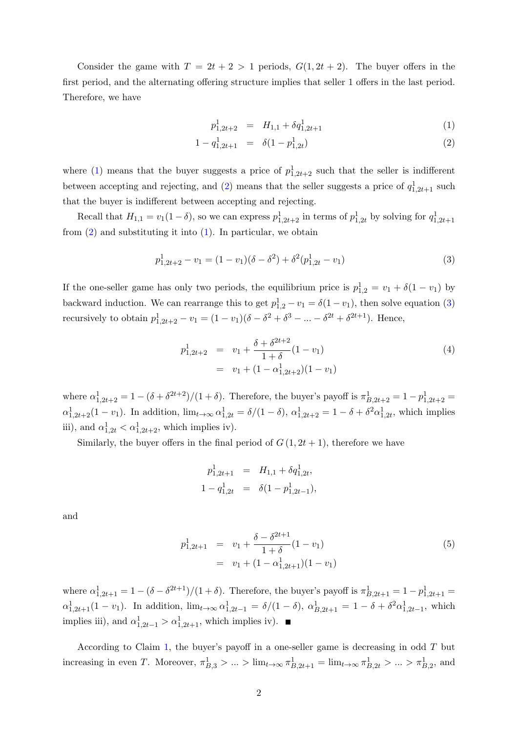Consider the game with  $T = 2t + 2 > 1$  periods,  $G(1, 2t + 2)$ . The buyer offers in the first period, and the alternating offering structure implies that seller 1 offers in the last period. Therefore, we have

<span id="page-1-0"></span>
$$
p_{1,2t+2}^1 = H_{1,1} + \delta q_{1,2t+1}^1 \tag{1}
$$

$$
1 - q_{1,2t+1}^1 = \delta(1 - p_{1,2t}^1) \tag{2}
$$

where [\(1\)](#page-1-0) means that the buyer suggests a price of  $p_{1,2t+2}^1$  such that the seller is indifferent between accepting and rejecting, and [\(2\)](#page-1-0) means that the seller suggests a price of  $q_{1,2t+1}^1$  such that the buyer is indifferent between accepting and rejecting.

Recall that  $H_{1,1} = v_1(1-\delta)$ , so we can express  $p_{1,2t+2}^1$  in terms of  $p_{1,2t}^1$  by solving for  $q_{1,2t+1}^1$ from  $(2)$  and substituting it into  $(1)$ . In particular, we obtain

<span id="page-1-1"></span>
$$
p_{1,2t+2}^1 - v_1 = (1 - v_1)(\delta - \delta^2) + \delta^2(p_{1,2t}^1 - v_1)
$$
\n(3)

If the one-seller game has only two periods, the equilibrium price is  $p_{1,2}^1 = v_1 + \delta(1 - v_1)$  by backward induction. We can rearrange this to get  $p_{1,2}^1 - v_1 = \delta(1 - v_1)$ , then solve equation [\(3\)](#page-1-1) recursively to obtain  $p_{1,2t+2}^1 - v_1 = (1 - v_1)(\delta - \delta^2 + \delta^3 - \dots - \delta^{2t} + \delta^{2t+1})$ . Hence,

$$
p_{1,2t+2}^{1} = v_1 + \frac{\delta + \delta^{2t+2}}{1+\delta} (1 - v_1)
$$
  
=  $v_1 + (1 - \alpha_{1,2t+2}^{1})(1 - v_1)$  (4)

where  $\alpha_{1,2t+2}^1 = 1 - (\delta + \delta^{2t+2})/(1+\delta)$ . Therefore, the buyer's payoff is  $\pi_{B,2t+2}^1 = 1 - p_{1,2t+2}^1 =$  $\alpha_{1,2t+2}^1(1-v_1)$ . In addition,  $\lim_{t\to\infty} \alpha_{1,2t}^1 = \delta/(1-\delta)$ ,  $\alpha_{1,2t+2}^1 = 1-\delta + \delta^2 \alpha_{1,2t}^1$ , which implies iii), and  $\alpha_{1,2t}^1 < \alpha_{1,2t+2}^1$ , which implies iv).

Similarly, the buyer offers in the final period of  $G(1, 2t + 1)$ , therefore we have

$$
p_{1,2t+1}^1 = H_{1,1} + \delta q_{1,2t}^1,
$$
  

$$
1 - q_{1,2t}^1 = \delta(1 - p_{1,2t-1}^1),
$$

and

$$
p_{1,2t+1}^{1} = v_1 + \frac{\delta - \delta^{2t+1}}{1+\delta} (1-v_1)
$$
  
=  $v_1 + (1-\alpha_{1,2t+1}^{1})(1-v_1)$  (5)

where  $\alpha_{1,2t+1}^1 = 1 - (\delta - \delta^{2t+1})/(1+\delta)$ . Therefore, the buyer's payoff is  $\pi_{B,2t+1}^1 = 1 - p_{1,2t+1}^1 =$  $\alpha_{1,2t+1}^1(1-v_1)$ . In addition,  $\lim_{t\to\infty} \alpha_{1,2t-1}^1 = \delta/(1-\delta)$ ,  $\alpha_{B,2t+1}^1 = 1-\delta+\delta^2\alpha_{1,2t-1}^1$ , which implies iii), and  $\alpha_{1,2t-1}^1 > \alpha_{1,2t+1}^1$ , which implies iv).

According to Claim [1,](#page-0-0) the buyer's payoff in a one-seller game is decreasing in odd  $T$  but increasing in even T. Moreover,  $\pi_{B,3}^1 > ... > \lim_{t \to \infty} \pi_{B,2t+1}^1 = \lim_{t \to \infty} \pi_{B,2t}^1 > ... > \pi_{B,2}^1$ , and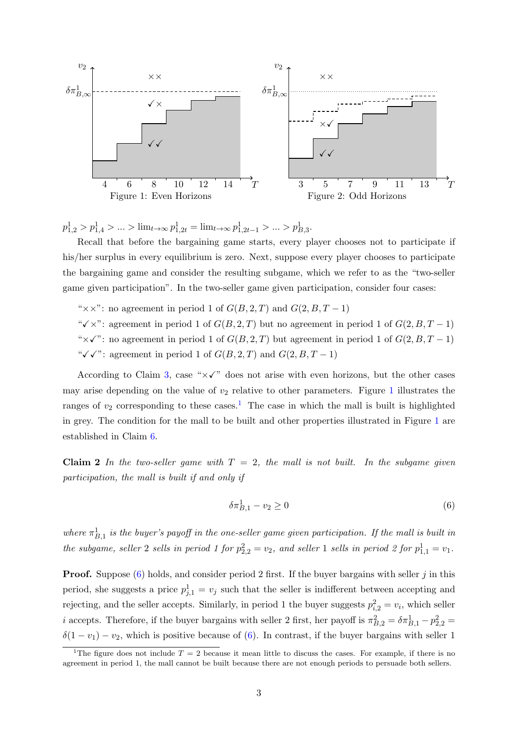<span id="page-2-1"></span>

 $p_{1,2}^1 > p_{1,4}^1 > \ldots > \lim_{t \to \infty} p_{1,2t}^1 = \lim_{t \to \infty} p_{1,2t-1}^1 > \ldots > p_{B,3}^1.$ 

Recall that before the bargaining game starts, every player chooses not to participate if his/her surplus in every equilibrium is zero. Next, suppose every player chooses to participate the bargaining game and consider the resulting subgame, which we refer to as the "two-seller game given participation". In the two-seller game given participation, consider four cases:

"××": no agreement in period 1 of  $G(B, 2, T)$  and  $G(2, B, T - 1)$ "

" $\checkmark$  x": agreement in period 1 of  $G(B, 2, T)$  but no agreement in period 1 of  $G(2, B, T - 1)$ " $\times$  $\checkmark$ ": no agreement in period 1 of  $G(B, 2, T)$  but agreement in period 1 of  $G(2, B, T - 1)$ " $\checkmark \checkmark$ ": agreement in period 1 of  $G(B, 2, T)$  and  $G(2, B, T - 1)$ 

According to Claim [3,](#page-3-0) case " $\times\checkmark$ " does not arise with even horizons, but the other cases may arise depending on the value of  $v_2$  relative to other parameters. Figure [1](#page-2-1) illustrates the ranges of  $v_2$  corresponding to these cases.<sup>[1](#page-2-2)</sup> The case in which the mall is built is highlighted in grey. The condition for the mall to be built and other properties illustrated in Figure [1](#page-2-1) are established in Claim [6.](#page-11-0)

<span id="page-2-0"></span>Claim 2 In the two-seller game with  $T = 2$ , the mall is not built. In the subgame given participation, the mall is built if and only if

<span id="page-2-3"></span>
$$
\delta \pi_{B,1}^1 - v_2 \ge 0 \tag{6}
$$

where  $\pi_{B,1}^1$  is the buyer's payoff in the one-seller game given participation. If the mall is built in the subgame, seller 2 sells in period 1 for  $p_{2,2}^2 = v_2$ , and seller 1 sells in period 2 for  $p_{1,1}^1 = v_1$ .

**Proof.** Suppose  $(6)$  holds, and consider period 2 first. If the buyer bargains with seller j in this period, she suggests a price  $p_{j,1}^1 = v_j$  such that the seller is indifferent between accepting and rejecting, and the seller accepts. Similarly, in period 1 the buyer suggests  $p_{i,2}^2 = v_i$ , which seller *i* accepts. Therefore, if the buyer bargains with seller 2 first, her payoff is  $\pi_{B,2}^2 = \delta \pi_{B,1}^1 - p_{2,2}^2 =$  $\delta(1 - v_1) - v_2$ , which is positive because of [\(6\)](#page-2-3). In contrast, if the buyer bargains with seller 1

<span id="page-2-2"></span><sup>&</sup>lt;sup>1</sup>The figure does not include  $T = 2$  because it mean little to discuss the cases. For example, if there is no agreement in period 1, the mall cannot be built because there are not enough periods to persuade both sellers.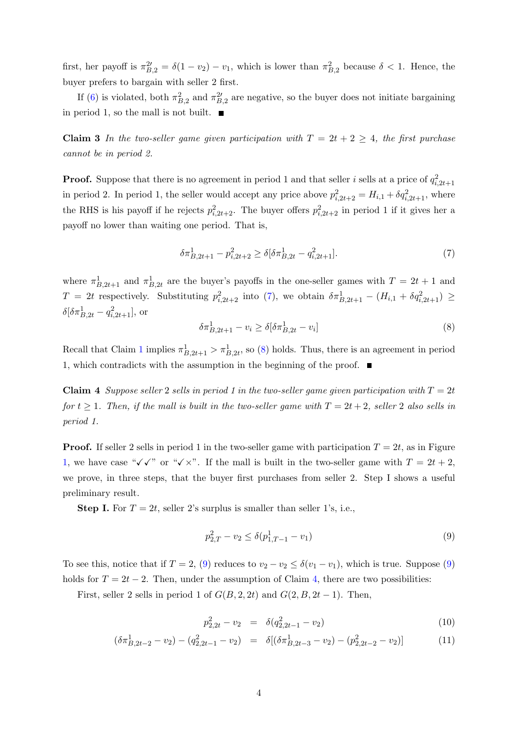first, her payoff is  $\pi_{B,2}^{2'} = \delta(1 - v_2) - v_1$ , which is lower than  $\pi_{B,2}^{2}$  because  $\delta < 1$ . Hence, the buyer prefers to bargain with seller 2 first.

If [\(6\)](#page-2-3) is violated, both  $\pi_{B,2}^2$  and  $\pi_{B,2}^2$  are negative, so the buyer does not initiate bargaining in period 1, so the mall is not built.  $\blacksquare$ 

<span id="page-3-0"></span>Claim 3 In the two-seller game given participation with  $T = 2t + 2 \ge 4$ , the first purchase cannot be in period 2.

**Proof.** Suppose that there is no agreement in period 1 and that seller i sells at a price of  $q_{i,2t+1}^2$ in period 2. In period 1, the seller would accept any price above  $p_{i,2t+2}^2 = H_{i,1} + \delta q_{i,2t+1}^2$ , where the RHS is his payoff if he rejects  $p_{i,2t+2}^2$ . The buyer offers  $p_{i,2t+2}^2$  in period 1 if it gives her a payoff no lower than waiting one period. That is,

<span id="page-3-1"></span>
$$
\delta \pi_{B,2t+1}^1 - p_{i,2t+2}^2 \ge \delta [\delta \pi_{B,2t}^1 - q_{i,2t+1}^2].\tag{7}
$$

where  $\pi_{B,2t+1}^1$  and  $\pi_{B,2t}^1$  are the buyer's payoffs in the one-seller games with  $T = 2t + 1$  and  $T = 2t$  respectively. Substituting  $p_{i,2t+2}^2$  into [\(7\)](#page-3-1), we obtain  $\delta \pi_{B,2t+1}^1 - (H_{i,1} + \delta q_{i,2t+1}^2) \geq$  $\delta[\delta \pi_{B,2t}^1 - q_{i,2t+1}^2],$  or

<span id="page-3-2"></span>
$$
\delta \pi_{B,2t+1}^1 - v_i \ge \delta [\delta \pi_{B,2t}^1 - v_i] \tag{8}
$$

Recall that Claim [1](#page-0-0) implies  $\pi^1_{B,2t+1} > \pi^1_{B,2t}$ , so [\(8\)](#page-3-2) holds. Thus, there is an agreement in period 1, which contradicts with the assumption in the beginning of the proof.  $\blacksquare$ 

<span id="page-3-4"></span>Claim 4 Suppose seller 2 sells in period 1 in the two-seller game given participation with  $T = 2t$ for  $t \geq 1$ . Then, if the mall is built in the two-seller game with  $T = 2t + 2$ , seller 2 also sells in period 1.

**Proof.** If seller 2 sells in period 1 in the two-seller game with participation  $T = 2t$ , as in Figure [1,](#page-2-1) we have case " $\sqrt{\checkmark}$ " or " $\sqrt{\checkmark}$ ". If the mall is built in the two-seller game with  $T = 2t + 2$ , we prove, in three steps, that the buyer first purchases from seller 2. Step I shows a useful preliminary result.

**Step I.** For  $T = 2t$ , seller 2's surplus is smaller than seller 1's, i.e.,

<span id="page-3-3"></span>
$$
p_{2,T}^2 - v_2 \le \delta(p_{1,T-1}^1 - v_1) \tag{9}
$$

To see this, notice that if  $T = 2$ , [\(9\)](#page-3-3) reduces to  $v_2 - v_2 \leq \delta(v_1 - v_1)$ , which is true. Suppose (9) holds for  $T = 2t - 2$ . Then, under the assumption of Claim [4,](#page-3-4) there are two possibilities:

First, seller 2 sells in period 1 of  $G(B, 2, 2t)$  and  $G(2, B, 2t - 1)$ . Then,

<span id="page-3-5"></span>
$$
p_{2,2t}^2 - v_2 = \delta(q_{2,2t-1}^2 - v_2) \tag{10}
$$

$$
(\delta \pi_{B,2t-2}^1 - v_2) - (q_{2,2t-1}^2 - v_2) = \delta[(\delta \pi_{B,2t-3}^1 - v_2) - (p_{2,2t-2}^2 - v_2)] \tag{11}
$$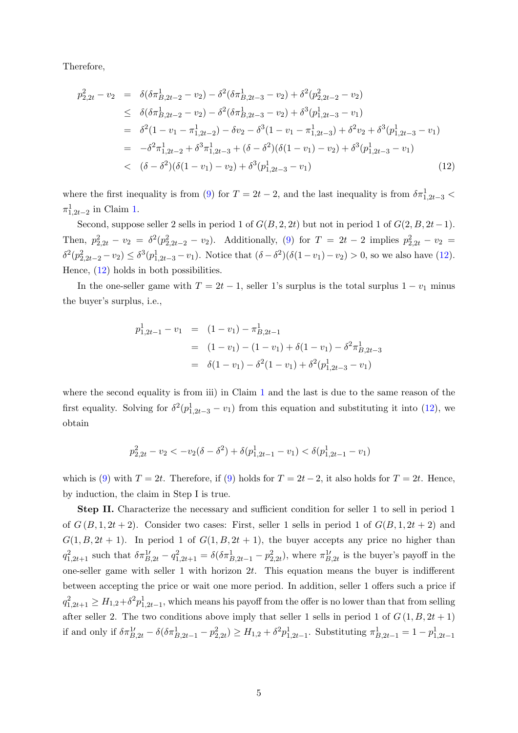Therefore,

<span id="page-4-0"></span>
$$
p_{2,2t}^2 - v_2 = \delta(\delta \pi_{B,2t-2}^1 - v_2) - \delta^2(\delta \pi_{B,2t-3}^1 - v_2) + \delta^2(p_{2,2t-2}^2 - v_2)
$$
  
\n
$$
\leq \delta(\delta \pi_{B,2t-2}^1 - v_2) - \delta^2(\delta \pi_{B,2t-3}^1 - v_2) + \delta^3(p_{1,2t-3}^1 - v_1)
$$
  
\n
$$
= \delta^2(1 - v_1 - \pi_{1,2t-2}^1) - \delta v_2 - \delta^3(1 - v_1 - \pi_{1,2t-3}^1) + \delta^2 v_2 + \delta^3(p_{1,2t-3}^1 - v_1)
$$
  
\n
$$
= -\delta^2 \pi_{1,2t-2}^1 + \delta^3 \pi_{1,2t-3}^1 + (\delta - \delta^2)(\delta(1 - v_1) - v_2) + \delta^3(p_{1,2t-3}^1 - v_1)
$$
  
\n
$$
< (\delta - \delta^2)(\delta(1 - v_1) - v_2) + \delta^3(p_{1,2t-3}^1 - v_1)
$$
\n(12)

where the first inequality is from [\(9\)](#page-3-3) for  $T = 2t - 2$ , and the last inequality is from  $\delta \pi^1_{1,2t-3}$  $\pi^1_{1,2t-2}$  in Claim [1.](#page-0-0)

Second, suppose seller 2 sells in period 1 of  $G(B, 2, 2t)$  but not in period 1 of  $G(2, B, 2t-1)$ . Then,  $p_{2,2t}^2 - v_2 = \delta^2(p_{2,2t-2}^2 - v_2)$ . Additionally, [\(9\)](#page-3-3) for  $T = 2t - 2$  implies  $p_{2,2t}^2 - v_2 =$  $\delta^2(p_{2,2t-2}^2 - v_2) \leq \delta^3(p_{1,2t-3}^1 - v_1)$ . Notice that  $(\delta - \delta^2)(\delta(1 - v_1) - v_2) > 0$ , so we also have [\(12\)](#page-4-0). Hence, [\(12\)](#page-4-0) holds in both possibilities.

In the one-seller game with  $T = 2t - 1$ , seller 1's surplus is the total surplus  $1 - v_1$  minus the buyer's surplus, i.e.,

<span id="page-4-1"></span>
$$
p_{1,2t-1}^1 - v_1 = (1 - v_1) - \pi_{B,2t-1}^1
$$
  
=  $(1 - v_1) - (1 - v_1) + \delta(1 - v_1) - \delta^2 \pi_{B,2t-3}^1$   
=  $\delta(1 - v_1) - \delta^2(1 - v_1) + \delta^2(p_{1,2t-3}^1 - v_1)$ 

where the second equality is from iii) in Claim [1](#page-0-0) and the last is due to the same reason of the first equality. Solving for  $\delta^2(p_{1,2t-3}^1 - v_1)$  from this equation and substituting it into [\(12\)](#page-4-0), we obtain

$$
p_{2,2t}^2 - v_2 < -v_2(\delta - \delta^2) + \delta(p_{1,2t-1}^1 - v_1) < \delta(p_{1,2t-1}^1 - v_1)
$$

which is [\(9\)](#page-3-3) with  $T = 2t$ . Therefore, if (9) holds for  $T = 2t - 2$ , it also holds for  $T = 2t$ . Hence, by induction, the claim in Step I is true.

Step II. Characterize the necessary and sufficient condition for seller 1 to sell in period 1 of  $G(B,1,2t+2)$ . Consider two cases: First, seller 1 sells in period 1 of  $G(B,1,2t+2)$  and  $G(1, B, 2t + 1)$ . In period 1 of  $G(1, B, 2t + 1)$ , the buyer accepts any price no higher than  $q_{1,2t+1}^2$  such that  $\delta \pi_{B,2t}^1 - q_{1,2t+1}^2 = \delta(\delta \pi_{B,2t-1}^1 - p_{2,2t}^2)$ , where  $\pi_{B,2t}^1$  is the buyer's payoff in the one-seller game with seller 1 with horizon  $2t$ . This equation means the buyer is indifferent between accepting the price or wait one more period. In addition, seller 1 offers such a price if  $q_{1,2t+1}^2 \geq H_{1,2} + \delta^2 p_{1,2t-1}^1$ , which means his payoff from the offer is no lower than that from selling after seller 2. The two conditions above imply that seller 1 sells in period 1 of  $G(1, B, 2t + 1)$ if and only if  $\delta \pi_{B,2t}^{1'} - \delta(\delta \pi_{B,2t-1}^1 - p_{2,2t}^2) \ge H_{1,2} + \delta^2 p_{1,2t-1}^1$ . Substituting  $\pi_{B,2t-1}^1 = 1 - p_{1,2t-1}^1$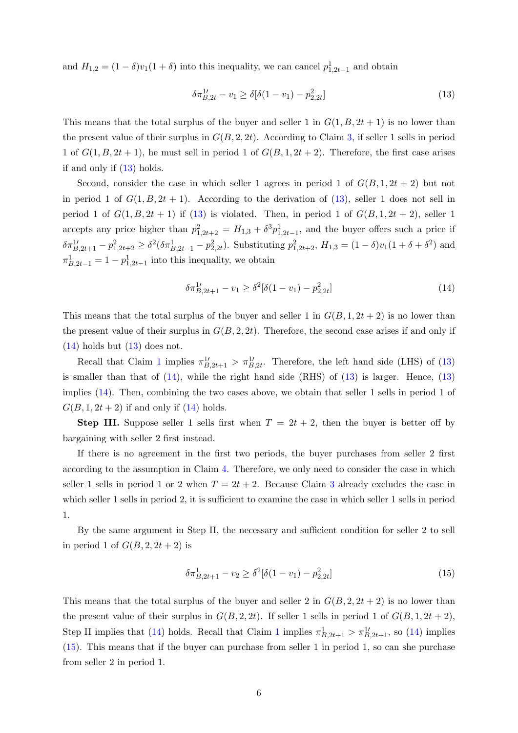and  $H_{1,2} = (1 - \delta)v_1(1 + \delta)$  into this inequality, we can cancel  $p_{1,2t-1}^1$  and obtain

$$
\delta \pi_{B,2t}^{1\prime} - v_1 \ge \delta [\delta (1 - v_1) - p_{2,2t}^2]
$$
\n(13)

This means that the total surplus of the buyer and seller 1 in  $G(1, B, 2t + 1)$  is no lower than the present value of their surplus in  $G(B, 2, 2t)$ . According to Claim [3,](#page-3-0) if seller 1 sells in period 1 of  $G(1, B, 2t + 1)$ , he must sell in period 1 of  $G(B, 1, 2t + 2)$ . Therefore, the first case arises if and only if [\(13\)](#page-4-1) holds.

Second, consider the case in which seller 1 agrees in period 1 of  $G(B, 1, 2t + 2)$  but not in period 1 of  $G(1, B, 2t + 1)$ . According to the derivation of [\(13\)](#page-4-1), seller 1 does not sell in period 1 of  $G(1, B, 2t + 1)$  if  $(13)$  is violated. Then, in period 1 of  $G(B, 1, 2t + 2)$ , seller 1 accepts any price higher than  $p_{1,2t+2}^2 = H_{1,3} + \delta^3 p_{1,2t-1}^1$ , and the buyer offers such a price if  $\delta \pi_{B,2t+1}^{1\prime} - p_{1,2t+2}^2 \geq \delta^2 (\delta \pi_{B,2t-1}^1 - p_{2,2t}^2)$ . Substituting  $p_{1,2t+2}^2$ ,  $H_{1,3} = (1 - \delta)v_1(1 + \delta + \delta^2)$  and  $\pi_{B,2t-1}^1 = 1 - p_{1,2t-1}^1$  into this inequality, we obtain

<span id="page-5-0"></span>
$$
\delta \pi_{B,2t+1}^{1'} - v_1 \ge \delta^2 [\delta(1 - v_1) - p_{2,2t}^2]
$$
\n(14)

This means that the total surplus of the buyer and seller 1 in  $G(B, 1, 2t + 2)$  is no lower than the present value of their surplus in  $G(B, 2, 2t)$ . Therefore, the second case arises if and only if  $(14)$  holds but  $(13)$  does not.

Recall that Claim [1](#page-0-0) implies  $\pi_{B,2t+1}^{1'} > \pi_{B,2t}^{1'}$ . Therefore, the left hand side (LHS) of [\(13\)](#page-4-1) is smaller than that of  $(14)$ , while the right hand side  $(RHS)$  of  $(13)$  is larger. Hence,  $(13)$ implies [\(14\)](#page-5-0). Then, combining the two cases above, we obtain that seller 1 sells in period 1 of  $G(B, 1, 2t + 2)$  if and only if  $(14)$  holds.

**Step III.** Suppose seller 1 sells first when  $T = 2t + 2$ , then the buyer is better off by bargaining with seller 2 first instead.

If there is no agreement in the first two periods, the buyer purchases from seller 2 first according to the assumption in Claim [4.](#page-3-4) Therefore, we only need to consider the case in which seller 1 sells in period 1 or 2 when  $T = 2t + 2$ . Because Claim [3](#page-3-0) already excludes the case in which seller 1 sells in period 2, it is sufficient to examine the case in which seller 1 sells in period 1.

By the same argument in Step II, the necessary and sufficient condition for seller 2 to sell in period 1 of  $G(B, 2, 2t + 2)$  is

<span id="page-5-1"></span>
$$
\delta \pi_{B,2t+1}^1 - v_2 \ge \delta^2 [\delta(1 - v_1) - p_{2,2t}^2]
$$
\n(15)

This means that the total surplus of the buyer and seller 2 in  $G(B, 2, 2t + 2)$  is no lower than the present value of their surplus in  $G(B, 2, 2t)$ . If seller 1 sells in period 1 of  $G(B, 1, 2t + 2)$ , Step II implies that [\(14\)](#page-5-0) holds. Recall that Claim [1](#page-0-0) implies  $\pi^1_{B,2t+1} > \pi^1_{B,2t+1}$ , so (14) implies [\(15\)](#page-5-1). This means that if the buyer can purchase from seller 1 in period 1, so can she purchase from seller 2 in period 1.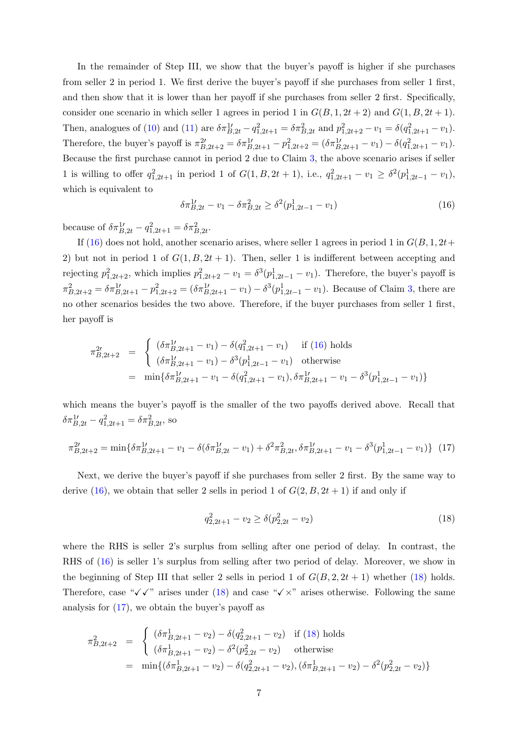In the remainder of Step III, we show that the buyer's payoff is higher if she purchases from seller 2 in period 1. We first derive the buyer's payoff if she purchases from seller 1 first, and then show that it is lower than her payoff if she purchases from seller 2 first. Specifically, consider one scenario in which seller 1 agrees in period 1 in  $G(B, 1, 2t + 2)$  and  $G(1, B, 2t + 1)$ . Then, analogues of [\(10\)](#page-3-5) and [\(11\)](#page-3-5) are  $\delta \pi_{B,2t}^{1\prime} - q_{1,2t+1}^2 = \delta \pi_{B,2t}^2$  and  $p_{1,2t+2}^2 - v_1 = \delta (q_{1,2t+1}^2 - v_1)$ . Therefore, the buyer's payoff is  $\pi_{B,2t+2}^{2'} = \delta \pi_{B,2t+1}^{1'} - p_{1,2t+2}^{2} = (\delta \pi_{B,2t+1}^{1'} - v_1) - \delta (q_{1,2t+1}^{2} - v_1).$ Because the first purchase cannot in period 2 due to Claim [3,](#page-3-0) the above scenario arises if seller 1 is willing to offer  $q_{1,2t+1}^2$  in period 1 of  $G(1, B, 2t + 1)$ , i.e.,  $q_{1,2t+1}^2 - v_1 \geq \delta^2(p_{1,2t-1}^1 - v_1)$ , which is equivalent to

<span id="page-6-0"></span>
$$
\delta \pi_{B,2t}^1 - v_1 - \delta \pi_{B,2t}^2 \ge \delta^2 (p_{1,2t-1}^1 - v_1)
$$
\n(16)

because of  $\delta \pi_{B,2t}^{1\prime} - q_{1,2t+1}^2 = \delta \pi_{B,2t}^2$ .

If [\(16\)](#page-6-0) does not hold, another scenario arises, where seller 1 agrees in period 1 in  $G(B, 1, 2t+$ 2) but not in period 1 of  $G(1, B, 2t + 1)$ . Then, seller 1 is indifferent between accepting and rejecting  $p_{1,2t+2}^2$ , which implies  $p_{1,2t+2}^2 - v_1 = \delta^3(p_{1,2t-1}^1 - v_1)$ . Therefore, the buyer's payoff is  $\pi_{B,2t+2}^2 = \delta \pi_{B,2t+1}^{1} - p_{1,2t+2}^2 = (\delta \pi_{B,2t+1}^{1\prime} - v_1) - \delta^3 (p_{1,2t-1}^1 - v_1)$ . Because of Claim [3,](#page-3-0) there are no other scenarios besides the two above. Therefore, if the buyer purchases from seller 1 first, her payoff is

<span id="page-6-2"></span>
$$
\pi_{B,2t+2}^{2t} = \begin{cases}\n(\delta \pi_{B,2t+1}^{1t} - v_1) - \delta (q_{1,2t+1}^2 - v_1) & \text{if (16) holds} \\
(\delta \pi_{B,2t+1}^{1t} - v_1) - \delta^3 (p_{1,2t-1}^1 - v_1) & \text{otherwise}\n\end{cases}
$$
\n
$$
= \min \{ \delta \pi_{B,2t+1}^{1t} - v_1 - \delta (q_{1,2t+1}^2 - v_1), \delta \pi_{B,2t+1}^{1t} - v_1 - \delta^3 (p_{1,2t-1}^1 - v_1) \}
$$

which means the buyer's payoff is the smaller of the two payoffs derived above. Recall that  $\delta \pi_{B,2t}^{1\prime} - q_{1,2t+1}^2 = \delta \pi_{B,2t}^2$ , so

$$
\pi_{B,2t+2}^{2\prime} = \min \{ \delta \pi_{B,2t+1}^{1\prime} - v_1 - \delta (\delta \pi_{B,2t}^{1\prime} - v_1) + \delta^2 \pi_{B,2t}^2, \delta \pi_{B,2t+1}^{1\prime} - v_1 - \delta^3 (p_{1,2t-1}^1 - v_1) \} \tag{17}
$$

Next, we derive the buyer's payoff if she purchases from seller 2 first. By the same way to derive [\(16\)](#page-6-0), we obtain that seller 2 sells in period 1 of  $G(2, B, 2t + 1)$  if and only if

<span id="page-6-1"></span>
$$
q_{2,2t+1}^2 - v_2 \ge \delta(p_{2,2t}^2 - v_2) \tag{18}
$$

where the RHS is seller 2's surplus from selling after one period of delay. In contrast, the RHS of [\(16\)](#page-6-0) is seller 1's surplus from selling after two period of delay. Moreover, we show in the beginning of Step III that seller 2 sells in period 1 of  $G(B, 2, 2t + 1)$  whether [\(18\)](#page-6-1) holds. Therefore, case " $\checkmark$   $\checkmark$ " arises under [\(18\)](#page-6-1) and case " $\checkmark$   $\times$ " arises otherwise. Following the same analysis for  $(17)$ , we obtain the buyer's payoff as

<span id="page-6-3"></span>
$$
\pi_{B,2t+2}^2 = \begin{cases}\n(\delta \pi_{B,2t+1}^1 - v_2) - \delta(q_{2,2t+1}^2 - v_2) & \text{if (18) holds} \\
(\delta \pi_{B,2t+1}^1 - v_2) - \delta^2(p_{2,2t}^2 - v_2) & \text{otherwise}\n\end{cases}
$$
\n
$$
= \min\{(\delta \pi_{B,2t+1}^1 - v_2) - \delta(q_{2,2t+1}^2 - v_2), (\delta \pi_{B,2t+1}^1 - v_2) - \delta^2(p_{2,2t}^2 - v_2)\}
$$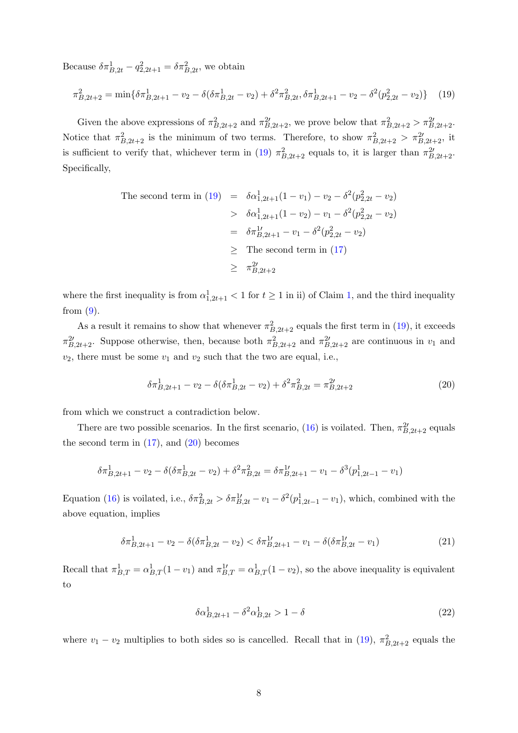Because  $\delta \pi_{B,2t}^1 - q_{2,2t+1}^2 = \delta \pi_{B,2t}^2$ , we obtain

$$
\pi_{B,2t+2}^2 = \min \{ \delta \pi_{B,2t+1}^1 - v_2 - \delta (\delta \pi_{B,2t}^1 - v_2) + \delta^2 \pi_{B,2t}^2, \delta \pi_{B,2t+1}^1 - v_2 - \delta^2 (p_{2,2t}^2 - v_2) \} \tag{19}
$$

Given the above expressions of  $\pi_{B,2t+2}^2$  and  $\pi_{B,2t+2}^{2\prime}$ , we prove below that  $\pi_{B,2t+2}^2 > \pi_{B,2t+2}^{2\prime}$ . Notice that  $\pi_{B,2t+2}^2$  is the minimum of two terms. Therefore, to show  $\pi_{B,2t+2}^2 > \pi_{B,2t+2}^2$ , it is sufficient to verify that, whichever term in [\(19\)](#page-6-3)  $\pi_{B,2t+2}^2$  equals to, it is larger than  $\pi_{B,2t+2}^2$ . Specifically,

The second term in (19) = 
$$
\delta \alpha_{1,2t+1}^1 (1 - v_1) - v_2 - \delta^2 (p_{2,2t}^2 - v_2)
$$
  
\n $\Rightarrow \delta \alpha_{1,2t+1}^1 (1 - v_2) - v_1 - \delta^2 (p_{2,2t}^2 - v_2)$   
\n $\qquad = \delta \pi_{B,2t+1}^1 - v_1 - \delta^2 (p_{2,2t}^2 - v_2)$   
\n $\qquad \ge$  The second term in (17)  
\n $\qquad \ge \pi_{B,2t+2}^{2t}$ 

where the first inequality is from  $\alpha_{1,2t+1}^1 < 1$  $\alpha_{1,2t+1}^1 < 1$  $\alpha_{1,2t+1}^1 < 1$  for  $t \ge 1$  in ii) of Claim 1, and the third inequality from  $(9)$ .

As a result it remains to show that whenever  $\pi_{B,2t+2}^2$  equals the first term in [\(19\)](#page-6-3), it exceeds  $\pi_{B,2t+2}^2$ . Suppose otherwise, then, because both  $\pi_{B,2t+2}^2$  and  $\pi_{B,2t+2}^2$  are continuous in  $v_1$  and  $v_2$ , there must be some  $v_1$  and  $v_2$  such that the two are equal, i.e.,

<span id="page-7-0"></span>
$$
\delta \pi_{B,2t+1}^1 - v_2 - \delta(\delta \pi_{B,2t}^1 - v_2) + \delta^2 \pi_{B,2t}^2 = \pi_{B,2t+2}^{2\prime}
$$
 (20)

from which we construct a contradiction below.

There are two possible scenarios. In the first scenario, [\(16\)](#page-6-0) is voilated. Then,  $\pi^{2'}_{B,2t+2}$  equals the second term in  $(17)$ , and  $(20)$  becomes

<span id="page-7-2"></span>
$$
\delta \pi_{B,2t+1}^1 - v_2 - \delta(\delta \pi_{B,2t}^1 - v_2) + \delta^2 \pi_{B,2t}^2 = \delta \pi_{B,2t+1}^1 - v_1 - \delta^3(p_{1,2t-1}^1 - v_1)
$$

Equation [\(16\)](#page-6-0) is voilated, i.e.,  $\delta \pi_{B,2t}^2 > \delta \pi_{B,2t}^{1\prime} - v_1 - \delta^2 (p_{1,2t-1}^1 - v_1)$ , which, combined with the above equation, implies

$$
\delta \pi_{B,2t+1}^1 - v_2 - \delta(\delta \pi_{B,2t}^1 - v_2) < \delta \pi_{B,2t+1}^1 - v_1 - \delta(\delta \pi_{B,2t}^1 - v_1) \tag{21}
$$

Recall that  $\pi_{B,T}^1 = \alpha_{B,T}^1(1-v_1)$  and  $\pi_{B,T}^{1'} = \alpha_{B,T}^1(1-v_2)$ , so the above inequality is equivalent to

<span id="page-7-1"></span>
$$
\delta \alpha_{B,2t+1}^1 - \delta^2 \alpha_{B,2t}^1 > 1 - \delta \tag{22}
$$

where  $v_1 - v_2$  multiplies to both sides so is cancelled. Recall that in [\(19\)](#page-6-3),  $\pi^2_{B,2t+2}$  equals the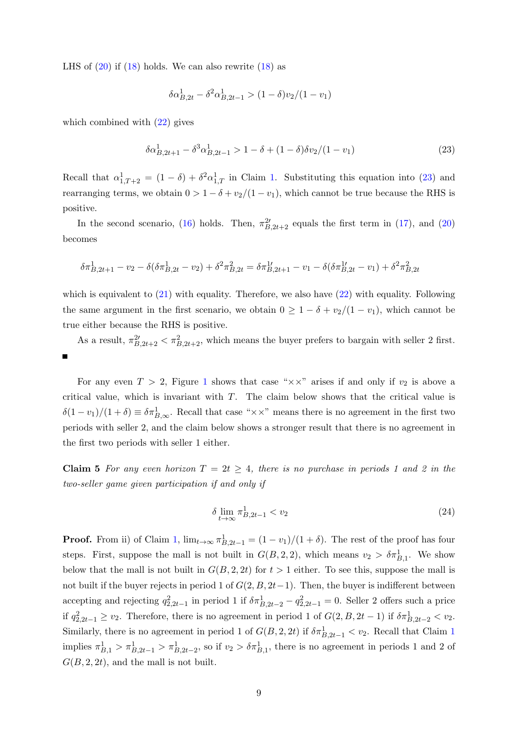LHS of  $(20)$  if  $(18)$  holds. We can also rewrite  $(18)$  as

<span id="page-8-1"></span>
$$
\delta \alpha_{B,2t}^1 - \delta^2 \alpha_{B,2t-1}^1 > (1 - \delta) v_2 / (1 - v_1)
$$

which combined with  $(22)$  gives

$$
\delta \alpha_{B,2t+1}^1 - \delta^3 \alpha_{B,2t-1}^1 > 1 - \delta + (1 - \delta) \delta v_2 / (1 - v_1) \tag{23}
$$

Recall that  $\alpha_{1,T+2}^1 = (1 - \delta) + \delta^2 \alpha_{1,T}^1$  in Claim [1.](#page-0-0) Substituting this equation into [\(23\)](#page-8-1) and rearranging terms, we obtain  $0 > 1 - \delta + v_2/(1 - v_1)$ , which cannot be true because the RHS is positive.

In the second scenario, [\(16\)](#page-6-0) holds. Then,  $\pi^{2'}_{B,2t+2}$  equals the first term in [\(17\)](#page-6-2), and [\(20\)](#page-7-0) becomes

<span id="page-8-2"></span>
$$
\delta \pi_{B,2t+1}^1 - v_2 - \delta(\delta \pi_{B,2t}^1 - v_2) + \delta^2 \pi_{B,2t}^2 = \delta \pi_{B,2t+1}^1 - v_1 - \delta(\delta \pi_{B,2t}^1 - v_1) + \delta^2 \pi_{B,2t}^2
$$

which is equivalent to  $(21)$  with equality. Therefore, we also have  $(22)$  with equality. Following the same argument in the first scenario, we obtain  $0 \geq 1 - \delta + v_2/(1 - v_1)$ , which cannot be true either because the RHS is positive.

As a result,  $\pi_{B,2t+2}^2 < \pi_{B,2t+2}^2$ , which means the buyer prefers to bargain with seller 2 first.

For any even  $T > 2$ , Figure [1](#page-2-1) shows that case " $\times \times$ " arises if and only if  $v_2$  is above a critical value, which is invariant with T. The claim below shows that the critical value is  $\delta(1-v_1)/(1+\delta) \equiv \delta \pi_{B,\infty}^1$ . Recall that case " $\times \times$ " means there is no agreement in the first two periods with seller 2, and the claim below shows a stronger result that there is no agreement in the first two periods with seller 1 either.

<span id="page-8-0"></span>**Claim 5** For any even horizon  $T = 2t \geq 4$ , there is no purchase in periods 1 and 2 in the two-seller game given participation if and only if

$$
\delta \lim_{t \to \infty} \pi_{B,2t-1}^1 < v_2 \tag{24}
$$

**Proof.** From ii) of Claim [1,](#page-0-0)  $\lim_{t\to\infty} \pi_{B,2t-1}^1 = (1-v_1)/(1+\delta)$ . The rest of the proof has four steps. First, suppose the mall is not built in  $G(B, 2, 2)$ , which means  $v_2 > \delta \pi_{B,1}^1$ . We show below that the mall is not built in  $G(B, 2, 2t)$  for  $t > 1$  either. To see this, suppose the mall is not built if the buyer rejects in period 1 of  $G(2, B, 2t-1)$ . Then, the buyer is indifferent between accepting and rejecting  $q_{2,2t-1}^2$  in period 1 if  $\delta \pi_{B,2t-2}^1 - q_{2,2t-1}^2 = 0$ . Seller 2 offers such a price if  $q_{2,2t-1}^2 \ge v_2$ . Therefore, there is no agreement in period 1 of  $G(2, B, 2t-1)$  if  $\delta \pi_{B,2t-2}^1 < v_2$ . Similarly, there is no agreement in period [1](#page-0-0) of  $G(B, 2, 2t)$  if  $\delta \pi_{B,2t-1}^1 < v_2$ . Recall that Claim 1 implies  $\pi_{B,1}^1 > \pi_{B,2t-1}^1 > \pi_{B,2t-2}^1$ , so if  $v_2 > \delta \pi_{B,1}^1$ , there is no agreement in periods 1 and 2 of  $G(B, 2, 2t)$ , and the mall is not built.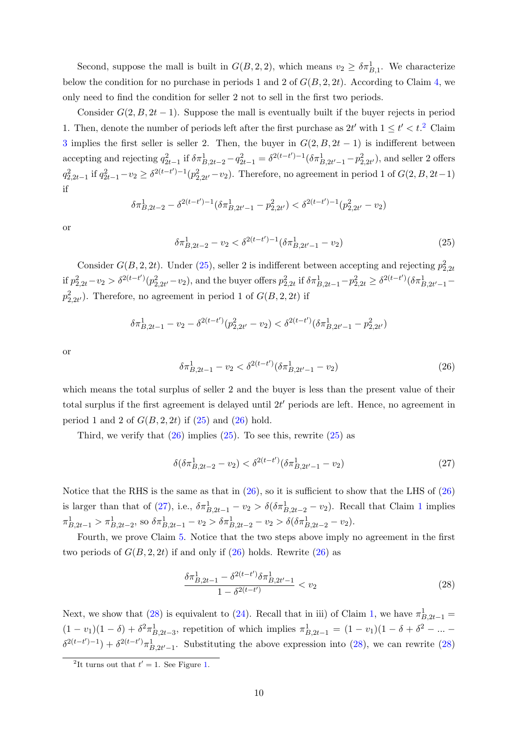Second, suppose the mall is built in  $G(B, 2, 2)$ , which means  $v_2 \geq \delta \pi_{B,1}^1$ . We characterize below the condition for no purchase in periods 1 and 2 of  $G(B, 2, 2t)$ . According to Claim [4,](#page-3-4) we only need to find the condition for seller 2 not to sell in the first two periods.

Consider  $G(2, B, 2t-1)$ . Suppose the mall is eventually built if the buyer rejects in period 1. Then, denote the number of periods left after the first purchase as  $2t'$  $2t'$  with  $1 \le t' < t$ <sup>2</sup>. Claim [3](#page-3-0) implies the first seller is seller 2. Then, the buyer in  $G(2, B, 2t - 1)$  is indifferent between accepting and rejecting  $q_{2t-1}^2$  if  $\delta \pi_{B,2t-2}^1 - q_{2t-1}^2 = \delta^{2(t-t')-1} (\delta \pi_{B,2t'-1}^1 - p_{2,2t'}^2)$ , and seller 2 offers  $q_{2,2t-1}^2$  if  $q_{2t-1}^2 - v_2 \ge \delta^{2(t-t')-1}(p_{2,2t'}^2 - v_2)$ . Therefore, no agreement in period 1 of  $G(2, B, 2t-1)$ if

$$
\delta \pi_{B,2t-2}^1 - \delta^{2(t-t')-1} (\delta \pi_{B,2t'-1}^1 - p_{2,2t'}^2) < \delta^{2(t-t')-1} (p_{2,2t'}^2 - v_2)
$$

or

<span id="page-9-1"></span>
$$
\delta \pi_{B,2t-2}^1 - v_2 < \delta^{2(t-t')-1} (\delta \pi_{B,2t'-1}^1 - v_2) \tag{25}
$$

Consider  $G(B, 2, 2t)$ . Under [\(25\)](#page-9-1), seller 2 is indifferent between accepting and rejecting  $p_{2,2t}^2$ if  $p_{2,2t}^2 - v_2 > \delta^{2(t-t')}(p_{2,2t'}^2 - v_2)$ , and the buyer offers  $p_{2,2t}^2$  if  $\delta \pi_{B,2t-1}^1 - p_{2,2t}^2 \geq \delta^{2(t-t')}(\delta \pi_{B,2t'-1}^1$  $p_{2,2t'}^2$ ). Therefore, no agreement in period 1 of  $G(B, 2, 2t)$  if

$$
\delta \pi_{B,2t-1}^1 - v_2 - \delta^{2(t-t')} (p_{2,2t'}^2 - v_2) < \delta^{2(t-t')} (\delta \pi_{B,2t'-1}^1 - p_{2,2t'}^2)
$$

or

<span id="page-9-2"></span>
$$
\delta \pi_{B,2t-1}^1 - v_2 < \delta^{2(t-t')} (\delta \pi_{B,2t'-1}^1 - v_2) \tag{26}
$$

which means the total surplus of seller 2 and the buyer is less than the present value of their total surplus if the first agreement is delayed until  $2t'$  periods are left. Hence, no agreement in period 1 and 2 of  $G(B, 2, 2t)$  if  $(25)$  and  $(26)$  hold.

Third, we verify that  $(26)$  implies  $(25)$ . To see this, rewrite  $(25)$  as

<span id="page-9-3"></span>
$$
\delta(\delta \pi_{B,2t-2}^1 - v_2) < \delta^{2(t-t')}(\delta \pi_{B,2t'-1}^1 - v_2) \tag{27}
$$

Notice that the RHS is the same as that in  $(26)$ , so it is sufficient to show that the LHS of  $(26)$ is larger than that of [\(27\)](#page-9-3), i.e.,  $\delta \pi_{B,2t-1}^1 - v_2 > \delta(\delta \pi_{B,2t-2}^1 - v_2)$  $\delta \pi_{B,2t-1}^1 - v_2 > \delta(\delta \pi_{B,2t-2}^1 - v_2)$  $\delta \pi_{B,2t-1}^1 - v_2 > \delta(\delta \pi_{B,2t-2}^1 - v_2)$ . Recall that Claim 1 implies  $\pi_{B,2t-1}^1 > \pi_{B,2t-2}^1$ , so  $\delta \pi_{B,2t-1}^1 - v_2 > \delta \pi_{B,2t-2}^1 - v_2 > \delta (\delta \pi_{B,2t-2}^1 - v_2)$ .

Fourth, we prove Claim [5.](#page-8-0) Notice that the two steps above imply no agreement in the first two periods of  $G(B, 2, 2t)$  if and only if  $(26)$  holds. Rewrite  $(26)$  as

<span id="page-9-4"></span>
$$
\frac{\delta \pi_{B,2t-1}^1 - \delta^{2(t-t')} \delta \pi_{B,2t'-1}^1}{1 - \delta^{2(t-t')}} < v_2 \tag{28}
$$

Next, we show that [\(28\)](#page-9-4) is equivalent to [\(24\)](#page-8-2). Recall that in iii) of Claim [1,](#page-0-0) we have  $\pi^1_{B,2t-1}$  =  $(1 - v_1)(1 - \delta) + \delta^2 \pi_{B,2t-3}^1$ , repetition of which implies  $\pi_{B,2t-1}^1 = (1 - v_1)(1 - \delta + \delta^2 - ... \delta^{2(t-t')-1}$ ) +  $\delta^{2(t-t')}\pi^1_{B,2t'-1}$ . Substituting the above expression into [\(28\)](#page-9-4), we can rewrite (28)

<span id="page-9-0"></span><sup>&</sup>lt;sup>2</sup>It turns out that  $t' = 1$ . See Figure [1.](#page-2-1)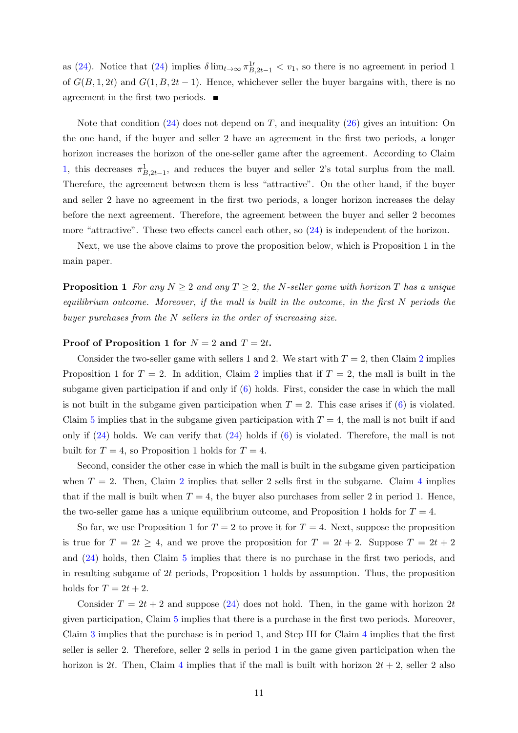as [\(24\)](#page-8-2). Notice that (24) implies  $\delta \lim_{t\to\infty} \pi_{B,2t-1}^{1'} < v_1$ , so there is no agreement in period 1 of  $G(B, 1, 2t)$  and  $G(1, B, 2t - 1)$ . Hence, whichever seller the buyer bargains with, there is no agreement in the first two periods. п

Note that condition  $(24)$  does not depend on T, and inequality  $(26)$  gives an intuition: On the one hand, if the buyer and seller 2 have an agreement in the first two periods, a longer horizon increases the horizon of the one-seller game after the agreement. According to Claim [1,](#page-0-0) this decreases  $\pi^1_{B,2t-1}$ , and reduces the buyer and seller 2's total surplus from the mall. Therefore, the agreement between them is less "attractive". On the other hand, if the buyer and seller 2 have no agreement in the first two periods, a longer horizon increases the delay before the next agreement. Therefore, the agreement between the buyer and seller 2 becomes more "attractive". These two effects cancel each other, so [\(24\)](#page-8-2) is independent of the horizon.

Next, we use the above claims to prove the proposition below, which is Proposition 1 in the main paper.

**Proposition 1** For any  $N \geq 2$  and any  $T \geq 2$ , the N-seller game with horizon T has a unique equilibrium outcome. Moreover, if the mall is built in the outcome, in the first N periods the buyer purchases from the  $N$  sellers in the order of increasing size.

#### Proof of Proposition 1 for  $N = 2$  and  $T = 2t$ .

Consider the two-seller game with sellers 1 and [2](#page-2-0). We start with  $T = 2$ , then Claim 2 implies Proposition 1 for  $T = 2$  $T = 2$ . In addition, Claim 2 implies that if  $T = 2$ , the mall is built in the subgame given participation if and only if [\(6\)](#page-2-3) holds. First, consider the case in which the mall is not built in the subgame given participation when  $T = 2$ . This case arises if [\(6\)](#page-2-3) is violated. Claim [5](#page-8-0) implies that in the subgame given participation with  $T = 4$ , the mall is not built if and only if  $(24)$  holds. We can verify that  $(24)$  holds if  $(6)$  is violated. Therefore, the mall is not built for  $T = 4$ , so Proposition 1 holds for  $T = 4$ .

Second, consider the other case in which the mall is built in the subgame given participation when  $T = 2$  $T = 2$ . Then, Claim 2 implies that seller 2 sells first in the subgame. Claim [4](#page-3-4) implies that if the mall is built when  $T = 4$ , the buyer also purchases from seller 2 in period 1. Hence, the two-seller game has a unique equilibrium outcome, and Proposition 1 holds for  $T = 4$ .

So far, we use Proposition 1 for  $T = 2$  to prove it for  $T = 4$ . Next, suppose the proposition is true for  $T = 2t \geq 4$ , and we prove the proposition for  $T = 2t + 2$ . Suppose  $T = 2t + 2$ and [\(24\)](#page-8-2) holds, then Claim [5](#page-8-0) implies that there is no purchase in the first two periods, and in resulting subgame of 2t periods, Proposition 1 holds by assumption. Thus, the proposition holds for  $T = 2t + 2$ .

Consider  $T = 2t + 2$  and suppose [\(24\)](#page-8-2) does not hold. Then, in the game with horizon 2t given participation, Claim [5](#page-8-0) implies that there is a purchase in the first two periods. Moreover, Claim [3](#page-3-0) implies that the purchase is in period 1, and Step III for Claim [4](#page-3-4) implies that the first seller is seller 2. Therefore, seller 2 sells in period 1 in the game given participation when the horizon is 2t. Then, Claim [4](#page-3-4) implies that if the mall is built with horizon  $2t + 2$ , seller 2 also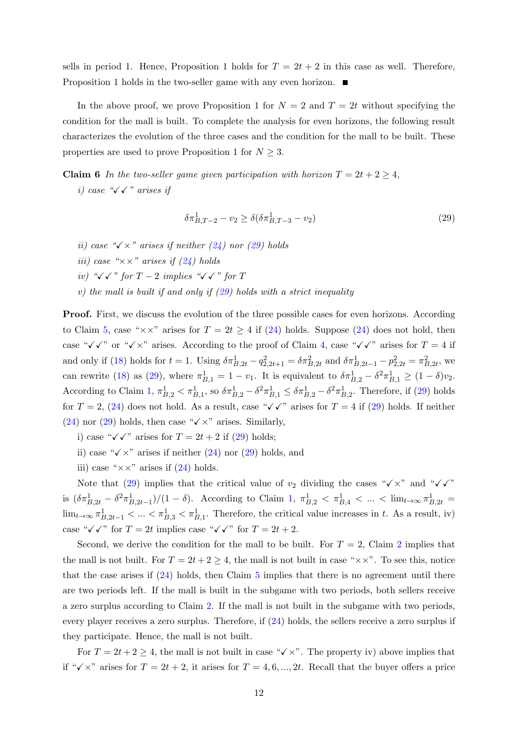sells in period 1. Hence, Proposition 1 holds for  $T = 2t + 2$  in this case as well. Therefore, Proposition 1 holds in the two-seller game with any even horizon. ■

In the above proof, we prove Proposition 1 for  $N = 2$  and  $T = 2t$  without specifying the condition for the mall is built. To complete the analysis for even horizons, the following result characterizes the evolution of the three cases and the condition for the mall to be built. These properties are used to prove Proposition 1 for  $N \geq 3$ .

<span id="page-11-0"></span>**Claim 6** In the two-seller game given participation with horizon  $T = 2t + 2 \ge 4$ , i) case " $\sqrt{\sqrt{r}}$  arises if

<span id="page-11-1"></span>
$$
\delta \pi_{B,T-2}^1 - v_2 \ge \delta (\delta \pi_{B,T-3}^1 - v_2) \tag{29}
$$

- ii) case " $\sqrt{x}$ " arises if neither [\(24\)](#page-8-2) nor [\(29\)](#page-11-1) holds
- iii) case " $\times\times$ " arises if [\(24\)](#page-8-2) holds
- iv) " $\checkmark \checkmark$ " for  $T-2$  implies " $\checkmark \checkmark$ " for  $T$
- v) the mall is built if and only if  $(29)$  holds with a strict inequality

Proof. First, we discuss the evolution of the three possible cases for even horizons. According to Claim [5,](#page-8-0) case " $\times\times$ " arises for  $T = 2t \geq 4$  if [\(24\)](#page-8-2) holds. Suppose (24) does not hold, then case " $\checkmark \checkmark$ " or " $\checkmark \times$ " arises. According to the proof of Claim [4,](#page-3-4) case " $\checkmark \checkmark$ " arises for  $T = 4$  if and only if [\(18\)](#page-6-1) holds for  $t = 1$ . Using  $\delta \pi_{B,2t}^1 - q_{2,2t+1}^2 = \delta \pi_{B,2t}^2$  and  $\delta \pi_{B,2t-1}^1 - p_{2,2t}^2 = \pi_{B,2t}^2$ , we can rewrite [\(18\)](#page-6-1) as [\(29\)](#page-11-1), where  $\pi_{B,1}^1 = 1 - v_1$ . It is equivalent to  $\delta \pi_{B,2}^1 - \delta^2 \pi_{B,1}^1 \ge (1 - \delta)v_2$ . According to Claim [1,](#page-0-0)  $\pi_{B,2}^1 < \pi_{B,1}^1$ , so  $\delta \pi_{B,2}^1 - \delta^2 \pi_{B,1}^1 \leq \delta \pi_{B,2}^1 - \delta^2 \pi_{B,2}^1$ . Therefore, if [\(29\)](#page-11-1) holds for  $T = 2$ , [\(24\)](#page-8-2) does not hold. As a result, case " $\checkmark \checkmark$ " arises for  $T = 4$  if [\(29\)](#page-11-1) holds. If neither  $(24)$  nor  $(29)$  holds, then case " $\checkmark$  x" arises. Similarly,

- i) case " $\sqrt{\checkmark}$ " arises for  $T = 2t + 2$  if [\(29\)](#page-11-1) holds;
- ii) case " $\checkmark$  x" arises if neither [\(24\)](#page-8-2) nor [\(29\)](#page-11-1) holds, and
- iii) case " $\times\times$ " arises if [\(24\)](#page-8-2) holds.

Note that [\(29\)](#page-11-1) implies that the critical value of  $v_2$  dividing the cases " $\checkmark \times$ " and " $\checkmark \checkmark$ " is  $(\delta \pi_{B,2t}^1 - \delta^2 \pi_{B,2t-1}^1)/(1 - \delta)$ . According to Claim [1,](#page-0-0)  $\pi_{B,2}^1 < \pi_{B,4}^1 < ... < \lim_{t \to \infty} \pi_{B,2t}^1 =$  $\lim_{t\to\infty} \pi_{B,2t-1}^1 < ... < \pi_{B,3}^1 < \pi_{B,1}^1$ . Therefore, the critical value increases in t. As a result, iv) case " $\checkmark \checkmark$ " for  $T = 2t$  implies case " $\checkmark \checkmark$ " for  $T = 2t + 2$ .

Second, we derive the condition for the mall to be built. For  $T = 2$  $T = 2$ , Claim 2 implies that the mall is not built. For  $T = 2t + 2 \ge 4$ , the mall is not built in case " $\times \times$ ". To see this, notice that the case arises if  $(24)$  holds, then Claim [5](#page-8-0) implies that there is no agreement until there are two periods left. If the mall is built in the subgame with two periods, both sellers receive a zero surplus according to Claim [2.](#page-2-0) If the mall is not built in the subgame with two periods, every player receives a zero surplus. Therefore, if [\(24\)](#page-8-2) holds, the sellers receive a zero surplus if they participate. Hence, the mall is not built.

For  $T = 2t + 2 \geq 4$ , the mall is not built in case " $\checkmark$  x". The property iv) above implies that if " $\checkmark$  x" arises for  $T = 2t + 2$ , it arises for  $T = 4, 6, ..., 2t$ . Recall that the buyer offers a price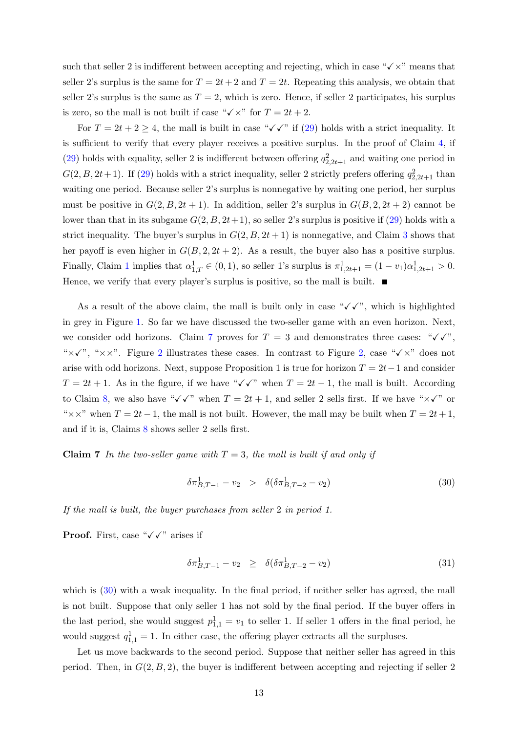such that seller 2 is indifferent between accepting and rejecting, which in case " $\checkmark \times$ " means that seller 2's surplus is the same for  $T = 2t + 2$  and  $T = 2t$ . Repeating this analysis, we obtain that seller 2's surplus is the same as  $T = 2$ , which is zero. Hence, if seller 2 participates, his surplus is zero, so the mall is not built if case " $\checkmark$  x" for  $T = 2t + 2$ .

For  $T = 2t + 2 \ge 4$ , the mall is built in case " $\checkmark \checkmark$ " if [\(29\)](#page-11-1) holds with a strict inequality. It is sufficient to verify that every player receives a positive surplus. In the proof of Claim [4,](#page-3-4) if [\(29\)](#page-11-1) holds with equality, seller 2 is indifferent between offering  $q_{2,2t+1}^2$  and waiting one period in  $G(2, B, 2t+1)$ . If [\(29\)](#page-11-1) holds with a strict inequality, seller 2 strictly prefers offering  $q_{2,2t+1}^2$  than waiting one period. Because seller 2's surplus is nonnegative by waiting one period, her surplus must be positive in  $G(2, B, 2t + 1)$ . In addition, seller 2's surplus in  $G(B, 2, 2t + 2)$  cannot be lower than that in its subgame  $G(2, B, 2t+1)$ , so seller 2's surplus is positive if [\(29\)](#page-11-1) holds with a strict inequality. The buyer's surplus in  $G(2, B, 2t + 1)$  is nonnegative, and Claim [3](#page-3-0) shows that her payoff is even higher in  $G(B, 2, 2t + 2)$ . As a result, the buyer also has a positive surplus. Finally, Claim [1](#page-0-0) implies that  $\alpha_{1,T}^1 \in (0,1)$ , so seller 1's surplus is  $\pi_{1,2t+1}^1 = (1-v_1)\alpha_{1,2t+1}^1 > 0$ . Hence, we verify that every player's surplus is positive, so the mall is built.  $\blacksquare$ 

As a result of the above claim, the mall is built only in case " $\checkmark \checkmark'$ ", which is highlighted in grey in Figure [1.](#page-2-1) So far we have discussed the two-seller game with an even horizon. Next, we consider odd horizons. Claim [7](#page-12-0) proves for  $T = 3$  and demonstrates three cases: " $\sqrt{\checkmark}$ ", " $x\checkmark$ ", " $x\checkmark$ ". Figure [2](#page-2-1) illustrates these cases. In contrast to Figure [2,](#page-2-1) case " $\checkmark$  x" does not arise with odd horizons. Next, suppose Proposition 1 is true for horizon  $T = 2t-1$  and consider  $T = 2t + 1$ . As in the figure, if we have " $\checkmark \checkmark$ " when  $T = 2t - 1$ , the mall is built. According to Claim [8,](#page-14-0) we also have " $\checkmark \checkmark$ " when  $T = 2t + 1$ , and seller 2 sells first. If we have " $\times \checkmark$ " or " $\times \times$ " when  $T = 2t - 1$ , the mall is not built. However, the mall may be built when  $T = 2t + 1$ , and if it is, Claims [8](#page-14-0) shows seller 2 sells first.

<span id="page-12-0"></span>**Claim 7** In the two-seller game with  $T = 3$ , the mall is built if and only if

<span id="page-12-1"></span>
$$
\delta \pi_{B,T-1}^1 - v_2 > \delta(\delta \pi_{B,T-2}^1 - v_2) \tag{30}
$$

If the mall is built, the buyer purchases from seller 2 in period 1.

**Proof.** First, case " $\checkmark$   $\checkmark$ " arises if

<span id="page-12-2"></span>
$$
\delta \pi_{B,T-1}^1 - v_2 \ge \delta(\delta \pi_{B,T-2}^1 - v_2) \tag{31}
$$

which is  $(30)$  with a weak inequality. In the final period, if neither seller has agreed, the mall is not built. Suppose that only seller 1 has not sold by the final period. If the buyer offers in the last period, she would suggest  $p_{1,1}^1 = v_1$  to seller 1. If seller 1 offers in the final period, he would suggest  $q_{1,1}^1 = 1$ . In either case, the offering player extracts all the surpluses.

Let us move backwards to the second period. Suppose that neither seller has agreed in this period. Then, in  $G(2, B, 2)$ , the buyer is indifferent between accepting and rejecting if seller 2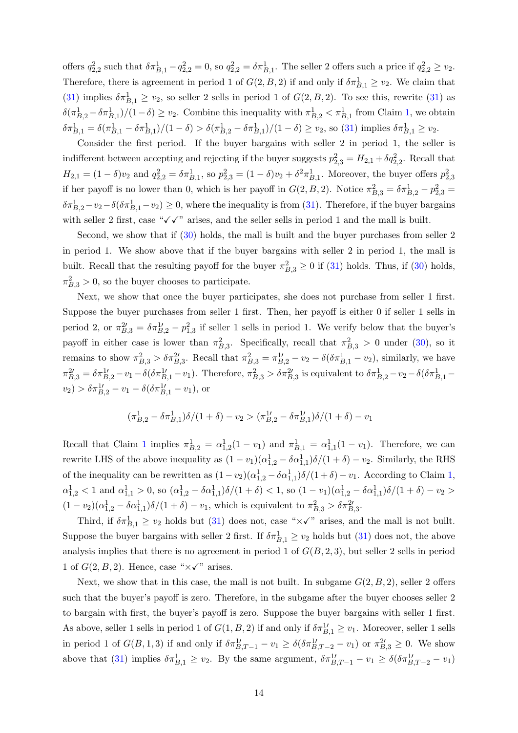offers  $q_{2,2}^2$  such that  $\delta \pi_{B,1}^1 - q_{2,2}^2 = 0$ , so  $q_{2,2}^2 = \delta \pi_{B,1}^1$ . The seller 2 offers such a price if  $q_{2,2}^2 \ge v_2$ . Therefore, there is agreement in period 1 of  $G(2, B, 2)$  if and only if  $\delta \pi_{B,1}^1 \ge v_2$ . We claim that [\(31\)](#page-12-2) implies  $\delta \pi_{B,1}^1 \ge v_2$ , so seller 2 sells in period 1 of  $G(2, B, 2)$ . To see this, rewrite (31) as  $\delta(\pi_{B,2}^1 - \delta \pi_{B,1}^1)/(1-\delta) \ge v_2$ . Combine this inequality with  $\pi_{B,2}^1 < \pi_{B,1}^1$  from Claim [1,](#page-0-0) we obtain  $\delta \pi_{B,1}^1 = \delta (\pi_{B,1}^1 - \delta \pi_{B,1}^1)/(1 - \delta) > \delta (\pi_{B,2}^1 - \delta \pi_{B,1}^1)/(1 - \delta) \ge v_2$ , so [\(31\)](#page-12-2) implies  $\delta \pi_{B,1}^1 \ge v_2$ .

Consider the first period. If the buyer bargains with seller 2 in period 1, the seller is indifferent between accepting and rejecting if the buyer suggests  $p_{2,3}^2 = H_{2,1} + \delta q_{2,2}^2$ . Recall that  $H_{2,1} = (1 - \delta)v_2$  and  $q_{2,2}^2 = \delta\pi_{B,1}^1$ , so  $p_{2,3}^2 = (1 - \delta)v_2 + \delta^2\pi_{B,1}^1$ . Moreover, the buyer offers  $p_{2,3}^2$ if her payoff is no lower than 0, which is her payoff in  $G(2, B, 2)$ . Notice  $\pi_{B,3}^2 = \delta \pi_{B,2}^1 - p_{2,3}^2 =$  $\delta \pi_{B,2}^1 - v_2 - \delta(\delta \pi_{B,1}^1 - v_2) \ge 0$ , where the inequality is from [\(31\)](#page-12-2). Therefore, if the buyer bargains with seller 2 first, case " $\sqrt{\checkmark}$ " arises, and the seller sells in period 1 and the mall is built.

Second, we show that if  $(30)$  holds, the mall is built and the buyer purchases from seller 2 in period 1. We show above that if the buyer bargains with seller 2 in period 1, the mall is built. Recall that the resulting payoff for the buyer  $\pi_{B,3}^2 \geq 0$  if [\(31\)](#page-12-2) holds. Thus, if [\(30\)](#page-12-1) holds,  $\pi_{B,3}^2 > 0$ , so the buyer chooses to participate.

Next, we show that once the buyer participates, she does not purchase from seller 1 first. Suppose the buyer purchases from seller 1 first. Then, her payoff is either 0 if seller 1 sells in period 2, or  $\pi_{B,3}^{2} = \delta \pi_{B,2}^{1} - p_{1,3}^{2}$  if seller 1 sells in period 1. We verify below that the buyer's payoff in either case is lower than  $\pi_{B,3}^2$ . Specifically, recall that  $\pi_{B,3}^2 > 0$  under [\(30\)](#page-12-1), so it remains to show  $\pi_{B,3}^2 > \delta \pi_{B,3}^{2'}$ . Recall that  $\pi_{B,3}^2 = \pi_{B,2}^{1'} - v_2 - \delta(\delta \pi_{B,1}^1 - v_2)$ , similarly, we have  $\pi_{B,3}^{2\prime} = \delta \pi_{B,2}^{1\prime} - v_1 - \delta (\delta \pi_{B,1}^{1\prime} - v_1)$ . Therefore,  $\pi_{B,3}^{2} > \delta \pi_{B,3}^{2\prime}$  is equivalent to  $\delta \pi_{B,2}^{1} - v_2 - \delta (\delta \pi_{B,1}^{1} - v_1)$ .  $v_2$ ) >  $\delta \pi_{B,2}^{1\prime} - v_1 - \delta (\delta \pi_{B,1}^{1\prime} - v_1)$ , or

$$
(\pi_{B,2}^1 - \delta \pi_{B,1}^1)\delta/(1+\delta) - v_2 > (\pi_{B,2}^{1\prime} - \delta \pi_{B,1}^{1\prime})\delta/(1+\delta) - v_1
$$

Recall that Claim [1](#page-0-0) implies  $\pi_{B,2}^1 = \alpha_{1,2}^1(1-v_1)$  and  $\pi_{B,1}^1 = \alpha_{1,1}^1(1-v_1)$ . Therefore, we can rewrite LHS of the above inequality as  $(1 - v_1)(\alpha_{1,2}^1 - \delta \alpha_{1,1}^1)\delta/(1 + \delta) - v_2$ . Similarly, the RHS of the inequality can be rewritten as  $(1 - v_2)(\alpha_{1,2}^1 - \delta \alpha_{1,1}^1)\delta/(1 + \delta) - v_1$  $(1 - v_2)(\alpha_{1,2}^1 - \delta \alpha_{1,1}^1)\delta/(1 + \delta) - v_1$  $(1 - v_2)(\alpha_{1,2}^1 - \delta \alpha_{1,1}^1)\delta/(1 + \delta) - v_1$ . According to Claim 1,  $\alpha_{1,2}^1 < 1$  and  $\alpha_{1,1}^1 > 0$ , so  $(\alpha_{1,2}^1 - \delta \alpha_{1,1}^1) \delta / (1 + \delta) < 1$ , so  $(1 - v_1) (\alpha_{1,2}^1 - \delta \alpha_{1,1}^1) \delta / (1 + \delta) - v_2 >$  $(1 - v_2)(\alpha_{1,2}^1 - \delta \alpha_{1,1}^1)\delta/(1 + \delta) - v_1$ , which is equivalent to  $\pi_{B,3}^2 > \delta \pi_{B,3}^2$ .

Third, if  $\delta \pi_{B,1}^1 \geq v_2$  holds but [\(31\)](#page-12-2) does not, case " $\times \checkmark$ " arises, and the mall is not built. Suppose the buyer bargains with seller 2 first. If  $\delta \pi_{B,1}^1 \geq v_2$  holds but [\(31\)](#page-12-2) does not, the above analysis implies that there is no agreement in period 1 of  $G(B, 2, 3)$ , but seller 2 sells in period 1 of  $G(2, B, 2)$ . Hence, case " $\times \checkmark$ " arises.

Next, we show that in this case, the mall is not built. In subgame  $G(2, B, 2)$ , seller 2 offers such that the buyer's payoff is zero. Therefore, in the subgame after the buyer chooses seller 2 to bargain with first, the buyer's payoff is zero. Suppose the buyer bargains with seller 1 first. As above, seller 1 sells in period 1 of  $G(1, B, 2)$  if and only if  $\delta \pi_{B,1}^{1} \ge v_1$ . Moreover, seller 1 sells in period 1 of  $G(B,1,3)$  if and only if  $\delta \pi_{B,T-1}^{1\prime} - v_1 \geq \delta(\delta \pi_{B,T-2}^{1\prime} - v_1)$  or  $\pi_{B,3}^{2\prime} \geq 0$ . We show above that [\(31\)](#page-12-2) implies  $\delta \pi_{B,1}^1 \ge v_2$ . By the same argument,  $\delta \pi_{B,T-1}^1 - v_1 \ge \delta(\delta \pi_{B,T-2}^1 - v_1)$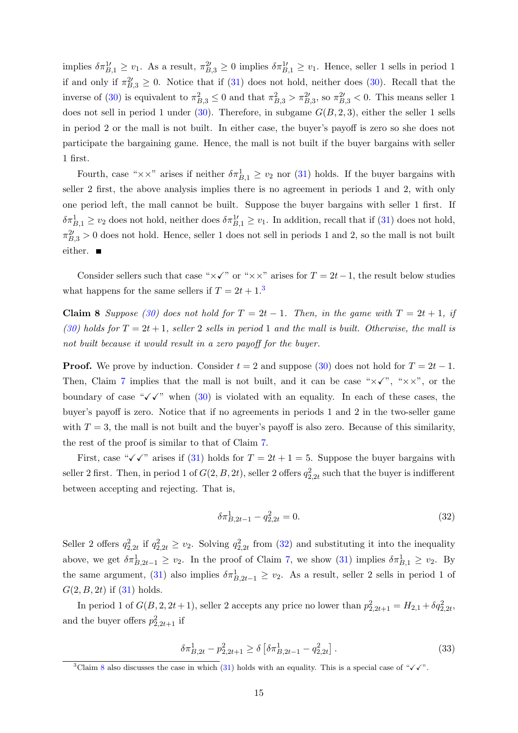implies  $\delta \pi_{B,1}^{1'} \geq v_1$ . As a result,  $\pi_{B,3}^{2'} \geq 0$  implies  $\delta \pi_{B,1}^{1'} \geq v_1$ . Hence, seller 1 sells in period 1 if and only if  $\pi_{B,3}^2 \geq 0$ . Notice that if [\(31\)](#page-12-2) does not hold, neither does [\(30\)](#page-12-1). Recall that the inverse of [\(30\)](#page-12-1) is equivalent to  $\pi_{B,3}^2 \le 0$  and that  $\pi_{B,3}^2 > \pi_{B,3}^2$ , so  $\pi_{B,3}^2 < 0$ . This means seller 1 does not sell in period 1 under [\(30\)](#page-12-1). Therefore, in subgame  $G(B, 2, 3)$ , either the seller 1 sells in period 2 or the mall is not built. In either case, the buyer's payoff is zero so she does not participate the bargaining game. Hence, the mall is not built if the buyer bargains with seller 1 first.

Fourth, case " $\times \times$ " arises if neither  $\delta \pi_{B,1}^1 \geq v_2$  nor [\(31\)](#page-12-2) holds. If the buyer bargains with seller 2 first, the above analysis implies there is no agreement in periods 1 and 2, with only one period left, the mall cannot be built. Suppose the buyer bargains with seller 1 first. If  $\delta \pi_{B,1}^1 \geq v_2$  does not hold, neither does  $\delta \pi_{B,1}^1 \geq v_1$ . In addition, recall that if [\(31\)](#page-12-2) does not hold,  $\pi_{B,3}^{2\prime} > 0$  does not hold. Hence, seller 1 does not sell in periods 1 and 2, so the mall is not built either. ■

<span id="page-14-0"></span>Consider sellers such that case " $\times\checkmark$ " or " $\times\times$ " arises for  $T = 2t-1$ , the result below studies what happens for the same sellers if  $T = 2t + 1$ <sup>[3](#page-14-1)</sup>

Claim 8 Suppose [\(30\)](#page-12-1) does not hold for  $T = 2t - 1$ . Then, in the game with  $T = 2t + 1$ , if [\(30\)](#page-12-1) holds for  $T = 2t + 1$ , seller 2 sells in period 1 and the mall is built. Otherwise, the mall is not built because it would result in a zero payoff for the buyer.

**Proof.** We prove by induction. Consider  $t = 2$  and suppose [\(30\)](#page-12-1) does not hold for  $T = 2t - 1$ . Then, Claim [7](#page-12-0) implies that the mall is not built, and it can be case " $\times\checkmark$ ", " $\times\times$ ", or the boundary of case " $\sqrt{\checkmark}$ " when [\(30\)](#page-12-1) is violated with an equality. In each of these cases, the buyer's payoff is zero. Notice that if no agreements in periods 1 and 2 in the two-seller game with  $T = 3$ , the mall is not built and the buyer's payoff is also zero. Because of this similarity, the rest of the proof is similar to that of Claim [7.](#page-12-0)

First, case " $\checkmark \checkmark$ " arises if [\(31\)](#page-12-2) holds for  $T = 2t + 1 = 5$ . Suppose the buyer bargains with seller 2 first. Then, in period 1 of  $G(2, B, 2t)$ , seller 2 offers  $q_{2,2t}^2$  such that the buyer is indifferent between accepting and rejecting. That is,

<span id="page-14-2"></span>
$$
\delta \pi_{B,2t-1}^1 - q_{2,2t}^2 = 0. \tag{32}
$$

Seller 2 offers  $q_{2,2t}^2$  if  $q_{2,2t}^2 \ge v_2$ . Solving  $q_{2,2t}^2$  from [\(32\)](#page-14-2) and substituting it into the inequality above, we get  $\delta \pi_{B,2t-1}^1 \geq v_2$ . In the proof of Claim [7,](#page-12-0) we show [\(31\)](#page-12-2) implies  $\delta \pi_{B,1}^1 \geq v_2$ . By the same argument, [\(31\)](#page-12-2) also implies  $\delta \pi_{B,2t-1}^1 \geq v_2$ . As a result, seller 2 sells in period 1 of  $G(2, B, 2t)$  if  $(31)$  holds.

In period 1 of  $G(B, 2, 2t+1)$ , seller 2 accepts any price no lower than  $p_{2,2t+1}^2 = H_{2,1} + \delta q_{2,2t}^2$ , and the buyer offers  $p_{2,2t+1}^2$  if

$$
\delta \pi_{B,2t}^1 - p_{2,2t+1}^2 \ge \delta \left[ \delta \pi_{B,2t-1}^1 - q_{2,2t}^2 \right]. \tag{33}
$$

<span id="page-14-1"></span><sup>&</sup>lt;sup>3</sup>Claim [8](#page-14-0) also discusses the case in which [\(31\)](#page-12-2) holds with an equality. This is a special case of " $\checkmark\checkmark$ ".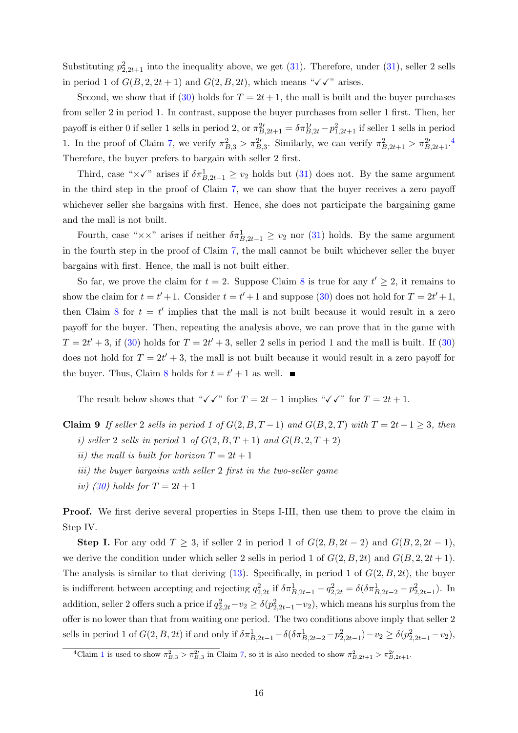Substituting  $p_{2,2t+1}^2$  into the inequality above, we get [\(31\)](#page-12-2). Therefore, under (31), seller 2 sells in period 1 of  $G(B, 2, 2t + 1)$  and  $G(2, B, 2t)$ , which means " $\checkmark \checkmark$ " arises.

Second, we show that if [\(30\)](#page-12-1) holds for  $T = 2t + 1$ , the mall is built and the buyer purchases from seller 2 in period 1. In contrast, suppose the buyer purchases from seller 1 first. Then, her payoff is either 0 if seller 1 sells in period 2, or  $\pi_{B,2t+1}^{2} = \delta \pi_{B,2t}^{1} - p_{1,2t+1}^{2}$  if seller 1 sells in period 1. In the proof of Claim [7,](#page-12-0) we verify  $\pi_{B,3}^2 > \pi_{B,3}^{2\prime}$ . Similarly, we can verify  $\pi_{B,2t+1}^2 > \pi_{B,2t+1}^{2\prime}$ . Therefore, the buyer prefers to bargain with seller 2 first.

Third, case " $\times\checkmark$ " arises if  $\delta\pi^1_{B,2t-1}\geq v_2$  holds but [\(31\)](#page-12-2) does not. By the same argument in the third step in the proof of Claim [7,](#page-12-0) we can show that the buyer receives a zero payoff whichever seller she bargains with first. Hence, she does not participate the bargaining game and the mall is not built.

Fourth, case " $\times \times$ " arises if neither  $\delta \pi_{B,2t-1}^1 \geq v_2$  nor [\(31\)](#page-12-2) holds. By the same argument in the fourth step in the proof of Claim [7,](#page-12-0) the mall cannot be built whichever seller the buyer bargains with first. Hence, the mall is not built either.

So far, we prove the claim for  $t = 2$ . Suppose Claim [8](#page-14-0) is true for any  $t' \geq 2$ , it remains to show the claim for  $t = t' + 1$ . Consider  $t = t' + 1$  and suppose [\(30\)](#page-12-1) does not hold for  $T = 2t' + 1$ , then Claim [8](#page-14-0) for  $t = t'$  implies that the mall is not built because it would result in a zero payoff for the buyer. Then, repeating the analysis above, we can prove that in the game with  $T = 2t' + 3$ , if [\(30\)](#page-12-1) holds for  $T = 2t' + 3$ , seller 2 sells in period 1 and the mall is built. If (30) does not hold for  $T = 2t' + 3$ , the mall is not built because it would result in a zero payoff for the buyer. Thus, Claim [8](#page-14-0) holds for  $t = t' + 1$  as well.

<span id="page-15-0"></span>The result below shows that " $\checkmark \checkmark$ " for  $T = 2t - 1$  implies " $\checkmark \checkmark$ " for  $T = 2t + 1$ .

- Claim 9 If seller 2 sells in period 1 of  $G(2, B, T-1)$  and  $G(B, 2, T)$  with  $T = 2t − 1 ≥ 3$ , then i) seller 2 sells in period 1 of  $G(2, B, T+1)$  and  $G(B, 2, T+2)$ 
	- ii) the mall is built for horizon  $T = 2t + 1$
	- iii) the buyer bargains with seller 2 first in the two-seller game
	- iv) [\(30\)](#page-12-1) holds for  $T = 2t + 1$

Proof. We first derive several properties in Steps I-III, then use them to prove the claim in Step IV.

Step I. For any odd  $T \geq 3$ , if seller 2 in period 1 of  $G(2, B, 2t - 2)$  and  $G(B, 2, 2t - 1)$ , we derive the condition under which seller 2 sells in period 1 of  $G(2, B, 2t)$  and  $G(B, 2, 2t + 1)$ . The analysis is similar to that deriving  $(13)$ . Specifically, in period 1 of  $G(2, B, 2t)$ , the buyer is indifferent between accepting and rejecting  $q_{2,2t}^2$  if  $\delta \pi_{B,2t-1}^1 - q_{2,2t}^2 = \delta(\delta \pi_{B,2t-2}^1 - p_{2,2t-1}^2)$ . In addition, seller 2 offers such a price if  $q_{2,2t}^2 - v_2 \ge \delta(p_{2,2t-1}^2 - v_2)$ , which means his surplus from the offer is no lower than that from waiting one period. The two conditions above imply that seller 2 sells in period 1 of  $G(2, B, 2t)$  if and only if  $\delta \pi_{B,2t-1}^1 - \delta(\delta \pi_{B,2t-2}^1 - p_{2,2t-1}^2) - v_2 \ge \delta(p_{2,2t-1}^2 - v_2)$ ,

<span id="page-15-1"></span><sup>&</sup>lt;sup>4</sup>Claim [1](#page-0-0) is used to show  $\pi_{B,3}^2 > \pi_{B,3}^{2'}$  in Claim [7,](#page-12-0) so it is also needed to show  $\pi_{B,2t+1}^2 > \pi_{B,2t+1}^{2'}$ .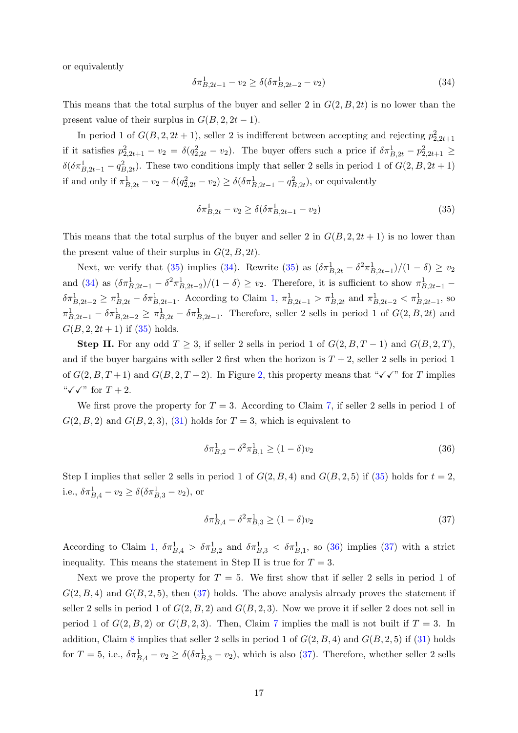or equivalently

<span id="page-16-1"></span>
$$
\delta \pi_{B,2t-1}^1 - v_2 \ge \delta(\delta \pi_{B,2t-2}^1 - v_2) \tag{34}
$$

This means that the total surplus of the buyer and seller 2 in  $G(2, B, 2t)$  is no lower than the present value of their surplus in  $G(B, 2, 2t-1)$ .

In period 1 of  $G(B, 2, 2t + 1)$ , seller 2 is indifferent between accepting and rejecting  $p_{2,2t+1}^2$ if it satisfies  $p_{2,2t+1}^2 - v_2 = \delta(q_{2,2t}^2 - v_2)$ . The buyer offers such a price if  $\delta \pi_{B,2t}^1 - p_{2,2t+1}^2 \geq$  $\delta(\delta \pi_{B,2t-1}^1 - q_{B,2t}^2)$ . These two conditions imply that seller 2 sells in period 1 of  $G(2, B, 2t + 1)$ if and only if  $\pi^1_{B,2t} - v_2 - \delta(q_{2,2t}^2 - v_2) \ge \delta(\delta \pi^1_{B,2t-1} - q_{B,2t}^2)$ , or equivalently

<span id="page-16-0"></span>
$$
\delta \pi_{B,2t}^1 - v_2 \ge \delta(\delta \pi_{B,2t-1}^1 - v_2)
$$
\n(35)

This means that the total surplus of the buyer and seller 2 in  $G(B, 2, 2t + 1)$  is no lower than the present value of their surplus in  $G(2, B, 2t)$ .

Next, we verify that [\(35\)](#page-16-0) implies [\(34\)](#page-16-1). Rewrite (35) as  $(\delta \pi_{B,2t}^1 - \delta^2 \pi_{B,2t-1}^1)/(1 - \delta) \ge v_2$ and [\(34\)](#page-16-1) as  $(\delta \pi_{B,2t-1}^1 - \delta^2 \pi_{B,2t-2}^1)/(1 - \delta) \ge v_2$ . Therefore, it is sufficient to show  $\pi_{B,2t-1}^1$  $\delta \pi_{B,2t-2}^1 \geq \pi_{B,2t}^1 - \delta \pi_{B,2t-1}^1$ . According to Claim [1,](#page-0-0)  $\pi_{B,2t-1}^1 > \pi_{B,2t}^1$  and  $\pi_{B,2t-2}^1 < \pi_{B,2t-1}^1$ , so  $\pi_{B,2t-1}^1 - \delta \pi_{B,2t-2}^1 \geq \pi_{B,2t}^1 - \delta \pi_{B,2t-1}^1$ . Therefore, seller 2 sells in period 1 of  $G(2, B, 2t)$  and  $G(B, 2, 2t + 1)$  if  $(35)$  holds.

**Step II.** For any odd  $T \geq 3$ , if seller 2 sells in period 1 of  $G(2, B, T - 1)$  and  $G(B, 2, T)$ , and if the buyer bargains with seller 2 first when the horizon is  $T + 2$ , seller 2 sells in period 1 of  $G(2, B, T+1)$  $G(2, B, T+1)$  $G(2, B, T+1)$  and  $G(B, 2, T+2)$ . In Figure 2, this property means that " $\checkmark \checkmark$ " for T implies " $\checkmark \checkmark$ " for  $T+2$ .

We first prove the property for  $T = 3$ . According to Claim [7,](#page-12-0) if seller 2 sells in period 1 of  $G(2, B, 2)$  and  $G(B, 2, 3)$ ,  $(31)$  holds for  $T = 3$ , which is equivalent to

<span id="page-16-2"></span>
$$
\delta \pi_{B,2}^1 - \delta^2 \pi_{B,1}^1 \ge (1 - \delta)v_2 \tag{36}
$$

Step I implies that seller 2 sells in period 1 of  $G(2, B, 4)$  and  $G(B, 2, 5)$  if [\(35\)](#page-16-0) holds for  $t = 2$ , i.e.,  $\delta \pi_{B,4}^1 - v_2 \ge \delta (\delta \pi_{B,3}^1 - v_2)$ , or

<span id="page-16-3"></span>
$$
\delta \pi_{B,4}^1 - \delta^2 \pi_{B,3}^1 \ge (1 - \delta)v_2 \tag{37}
$$

According to Claim [1,](#page-0-0)  $\delta \pi_{B,4}^1 > \delta \pi_{B,2}^1$  and  $\delta \pi_{B,3}^1 < \delta \pi_{B,1}^1$ , so [\(36\)](#page-16-2) implies [\(37\)](#page-16-3) with a strict inequality. This means the statement in Step II is true for  $T = 3$ .

Next we prove the property for  $T = 5$ . We first show that if seller 2 sells in period 1 of  $G(2, B, 4)$  and  $G(B, 2, 5)$ , then  $(37)$  holds. The above analysis already proves the statement if seller 2 sells in period 1 of  $G(2, B, 2)$  and  $G(B, 2, 3)$ . Now we prove it if seller 2 does not sell in period 1 of  $G(2, B, 2)$  or  $G(B, 2, 3)$ . Then, Claim [7](#page-12-0) implies the mall is not built if  $T = 3$ . In addition, Claim [8](#page-14-0) implies that seller 2 sells in period 1 of  $G(2, B, 4)$  and  $G(B, 2, 5)$  if [\(31\)](#page-12-2) holds for  $T = 5$ , i.e.,  $\delta \pi_{B,4}^1 - v_2 \ge \delta(\delta \pi_{B,3}^1 - v_2)$ , which is also [\(37\)](#page-16-3). Therefore, whether seller 2 sells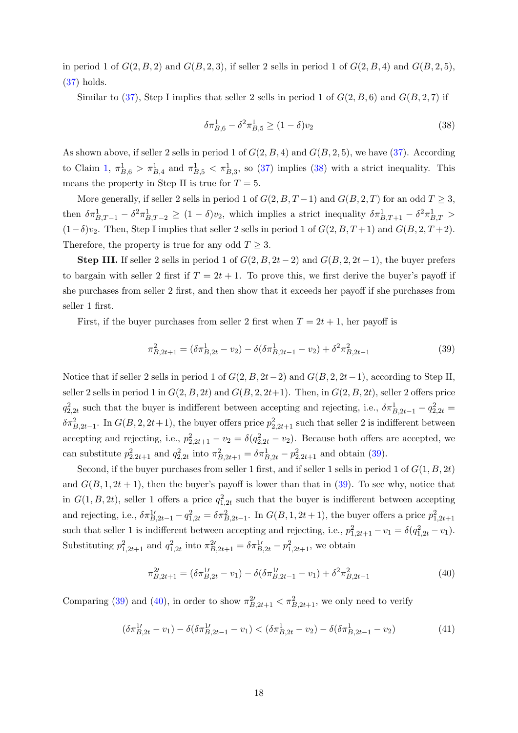in period 1 of  $G(2, B, 2)$  and  $G(B, 2, 3)$ , if seller 2 sells in period 1 of  $G(2, B, 4)$  and  $G(B, 2, 5)$ , [\(37\)](#page-16-3) holds.

Similar to [\(37\)](#page-16-3), Step I implies that seller 2 sells in period 1 of  $G(2, B, 6)$  and  $G(B, 2, 7)$  if

<span id="page-17-0"></span>
$$
\delta \pi_{B,6}^1 - \delta^2 \pi_{B,5}^1 \ge (1 - \delta)v_2 \tag{38}
$$

As shown above, if seller 2 sells in period 1 of  $G(2, B, 4)$  and  $G(B, 2, 5)$ , we have [\(37\)](#page-16-3). According to Claim [1,](#page-0-0)  $\pi_{B,6}^1 > \pi_{B,4}^1$  and  $\pi_{B,5}^1 < \pi_{B,3}^1$ , so [\(37\)](#page-16-3) implies [\(38\)](#page-17-0) with a strict inequality. This means the property in Step II is true for  $T = 5$ .

More generally, if seller 2 sells in period 1 of  $G(2, B, T-1)$  and  $G(B, 2, T)$  for an odd  $T \geq 3$ , then  $\delta \pi_{B,T-1}^1 - \delta^2 \pi_{B,T-2}^1 \ge (1-\delta)v_2$ , which implies a strict inequality  $\delta \pi_{B,T+1}^1 - \delta^2 \pi_{B,T}^1 >$  $(1-\delta)v_2$ . Then, Step I implies that seller 2 sells in period 1 of  $G(2, B, T+1)$  and  $G(B, 2, T+2)$ . Therefore, the property is true for any odd  $T \geq 3$ .

Step III. If seller 2 sells in period 1 of  $G(2, B, 2t-2)$  and  $G(B, 2, 2t-1)$ , the buyer prefers to bargain with seller 2 first if  $T = 2t + 1$ . To prove this, we first derive the buyer's payoff if she purchases from seller 2 first, and then show that it exceeds her payoff if she purchases from seller 1 first.

First, if the buyer purchases from seller 2 first when  $T = 2t + 1$ , her payoff is

<span id="page-17-1"></span>
$$
\pi_{B,2t+1}^2 = (\delta \pi_{B,2t}^1 - v_2) - \delta (\delta \pi_{B,2t-1}^1 - v_2) + \delta^2 \pi_{B,2t-1}^2 \tag{39}
$$

Notice that if seller 2 sells in period 1 of  $G(2, B, 2t-2)$  and  $G(B, 2, 2t-1)$ , according to Step II, seller 2 sells in period 1 in  $G(2, B, 2t)$  and  $G(B, 2, 2t+1)$ . Then, in  $G(2, B, 2t)$ , seller 2 offers price  $q_{2,2t}^2$  such that the buyer is indifferent between accepting and rejecting, i.e.,  $\delta \pi_{B,2t-1}^1 - q_{2,2t}^2 =$  $\delta \pi_{B,2t-1}^2$ . In  $G(B,2,2t+1)$ , the buyer offers price  $p_{2,2t+1}^2$  such that seller 2 is indifferent between accepting and rejecting, i.e.,  $p_{2,2t+1}^2 - v_2 = \delta(q_{2,2t}^2 - v_2)$ . Because both offers are accepted, we can substitute  $p_{2,2t+1}^2$  and  $q_{2,2t}^2$  into  $\pi_{B,2t+1}^2 = \delta \pi_{B,2t}^1 - p_{2,2t+1}^2$  and obtain [\(39\)](#page-17-1).

Second, if the buyer purchases from seller 1 first, and if seller 1 sells in period 1 of  $G(1, B, 2t)$ and  $G(B, 1, 2t + 1)$ , then the buyer's payoff is lower than that in [\(39\)](#page-17-1). To see why, notice that in  $G(1, B, 2t)$ , seller 1 offers a price  $q_{1,2t}^2$  such that the buyer is indifferent between accepting and rejecting, i.e.,  $\delta \pi_{B,2t-1}^{1} - q_{1,2t}^2 = \delta \pi_{B,2t-1}^2$ . In  $G(B,1,2t+1)$ , the buyer offers a price  $p_{1,2t+1}^2$ such that seller 1 is indifferent between accepting and rejecting, i.e.,  $p_{1,2t+1}^2 - v_1 = \delta(q_{1,2t}^2 - v_1)$ . Substituting  $p_{1,2t+1}^2$  and  $q_{1,2t}^2$  into  $\pi_{B,2t+1}^2 = \delta \pi_{B,2t}^1 - p_{1,2t+1}^2$ , we obtain

<span id="page-17-2"></span>
$$
\pi_{B,2t+1}^{2\prime} = (\delta \pi_{B,2t}^{1\prime} - v_1) - \delta (\delta \pi_{B,2t-1}^{1\prime} - v_1) + \delta^2 \pi_{B,2t-1}^2 \tag{40}
$$

Comparing [\(39\)](#page-17-1) and [\(40\)](#page-17-2), in order to show  $\pi_{B,2t+1}^{2} < \pi_{B,2t+1}^{2}$ , we only need to verify

<span id="page-17-3"></span>
$$
(\delta \pi_{B,2t}^1 - v_1) - \delta(\delta \pi_{B,2t-1}^1 - v_1) < (\delta \pi_{B,2t}^1 - v_2) - \delta(\delta \pi_{B,2t-1}^1 - v_2) \tag{41}
$$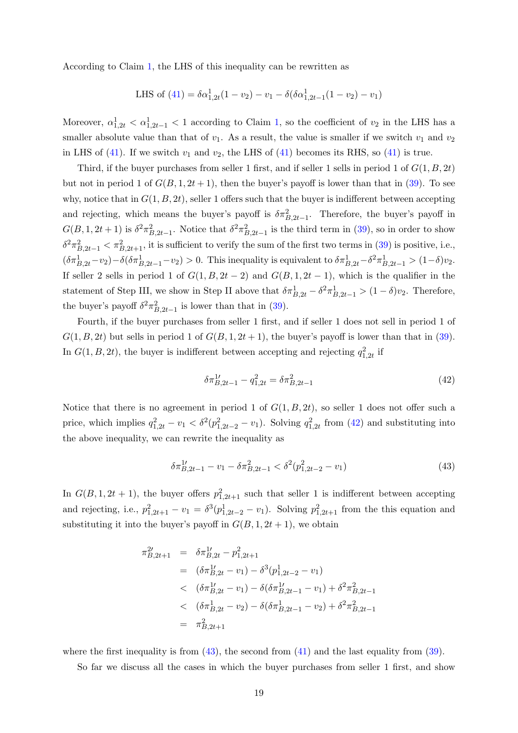According to Claim [1,](#page-0-0) the LHS of this inequality can be rewritten as

LHS of (41) = 
$$
\delta \alpha_{1,2t}^1 (1 - v_2) - v_1 - \delta (\delta \alpha_{1,2t-1}^1 (1 - v_2) - v_1)
$$

Moreover,  $\alpha_{1,2t}^1 < \alpha_{1,2t-1}^1 < 1$  $\alpha_{1,2t}^1 < \alpha_{1,2t-1}^1 < 1$  $\alpha_{1,2t}^1 < \alpha_{1,2t-1}^1 < 1$  according to Claim 1, so the coefficient of  $v_2$  in the LHS has a smaller absolute value than that of  $v_1$ . As a result, the value is smaller if we switch  $v_1$  and  $v_2$ in LHS of [\(41\)](#page-17-3). If we switch  $v_1$  and  $v_2$ , the LHS of (41) becomes its RHS, so (41) is true.

Third, if the buyer purchases from seller 1 first, and if seller 1 sells in period 1 of  $G(1, B, 2t)$ but not in period 1 of  $G(B, 1, 2t + 1)$ , then the buyer's payoff is lower than that in [\(39\)](#page-17-1). To see why, notice that in  $G(1, B, 2t)$ , seller 1 offers such that the buyer is indifferent between accepting and rejecting, which means the buyer's payoff is  $\delta \pi_{B,2t-1}^2$ . Therefore, the buyer's payoff in  $G(B,1,2t+1)$  is  $\delta^2 \pi_{B,2t-1}^2$ . Notice that  $\delta^2 \pi_{B,2t-1}^2$  is the third term in [\(39\)](#page-17-1), so in order to show  $\delta^2 \pi_{B,2t-1}^2 < \pi_{B,2t+1}^2$ , it is sufficient to verify the sum of the first two terms in [\(39\)](#page-17-1) is positive, i.e.,  $(\delta \pi_{B,2t}^1 - v_2) - \delta(\delta \pi_{B,2t-1}^1 - v_2) > 0$ . This inequality is equivalent to  $\delta \pi_{B,2t}^1 - \delta^2 \pi_{B,2t-1}^1 > (1-\delta)v_2$ . If seller 2 sells in period 1 of  $G(1, B, 2t - 2)$  and  $G(B, 1, 2t - 1)$ , which is the qualifier in the statement of Step III, we show in Step II above that  $\delta \pi_{B,2t}^1 - \delta^2 \pi_{B,2t-1}^1 > (1 - \delta)v_2$ . Therefore, the buyer's payoff  $\delta^2 \pi_{B,2t-1}^2$  is lower than that in [\(39\)](#page-17-1).

Fourth, if the buyer purchases from seller 1 first, and if seller 1 does not sell in period 1 of  $G(1, B, 2t)$  but sells in period 1 of  $G(B, 1, 2t + 1)$ , the buyer's payoff is lower than that in [\(39\)](#page-17-1). In  $G(1, B, 2t)$ , the buyer is indifferent between accepting and rejecting  $q_{1,2t}^2$  if

<span id="page-18-0"></span>
$$
\delta \pi_{B,2t-1}^{1'} - q_{1,2t}^2 = \delta \pi_{B,2t-1}^2 \tag{42}
$$

Notice that there is no agreement in period 1 of  $G(1, B, 2t)$ , so seller 1 does not offer such a price, which implies  $q_{1,2t}^2 - v_1 < \delta^2(p_{1,2t-2}^2 - v_1)$ . Solving  $q_{1,2t}^2$  from [\(42\)](#page-18-0) and substituting into the above inequality, we can rewrite the inequality as

<span id="page-18-1"></span>
$$
\delta \pi_{B,2t-1}^{1\prime} - v_1 - \delta \pi_{B,2t-1}^2 < \delta^2(p_{1,2t-2}^2 - v_1) \tag{43}
$$

In  $G(B, 1, 2t + 1)$ , the buyer offers  $p_{1,2t+1}^2$  such that seller 1 is indifferent between accepting and rejecting, i.e.,  $p_{1,2t+1}^2 - v_1 = \delta^3(p_{1,2t-2}^1 - v_1)$ . Solving  $p_{1,2t+1}^2$  from the this equation and substituting it into the buyer's payoff in  $G(B, 1, 2t + 1)$ , we obtain

$$
\pi_{B,2t+1}^{2\prime} = \delta \pi_{B,2t}^{1\prime} - p_{1,2t+1}^{2}
$$
\n
$$
= (\delta \pi_{B,2t}^{1\prime} - v_{1}) - \delta^{3} (p_{1,2t-2}^{1} - v_{1})
$$
\n
$$
< (\delta \pi_{B,2t}^{1\prime} - v_{1}) - \delta (\delta \pi_{B,2t-1}^{1\prime} - v_{1}) + \delta^{2} \pi_{B,2t-1}^{2}
$$
\n
$$
< (\delta \pi_{B,2t}^{1} - v_{2}) - \delta (\delta \pi_{B,2t-1}^{1} - v_{2}) + \delta^{2} \pi_{B,2t-1}^{2}
$$
\n
$$
= \pi_{B,2t+1}^{2}
$$

where the first inequality is from  $(43)$ , the second from  $(41)$  and the last equality from  $(39)$ .

So far we discuss all the cases in which the buyer purchases from seller 1 first, and show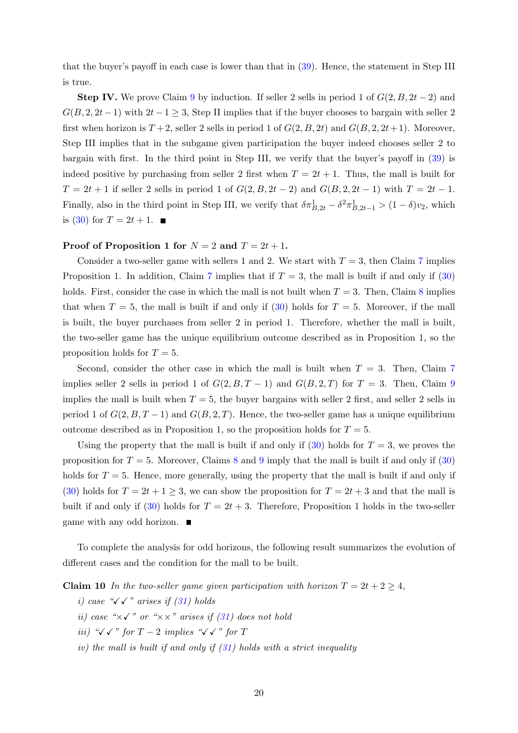that the buyer's payoff in each case is lower than that in [\(39\)](#page-17-1). Hence, the statement in Step III is true.

**Step IV.** We prove Claim [9](#page-15-0) by induction. If seller 2 sells in period 1 of  $G(2, B, 2t - 2)$  and  $G(B, 2, 2t-1)$  with  $2t-1 \geq 3$ , Step II implies that if the buyer chooses to bargain with seller 2 first when horizon is  $T + 2$ , seller 2 sells in period 1 of  $G(2, B, 2t)$  and  $G(B, 2, 2t+1)$ . Moreover, Step III implies that in the subgame given participation the buyer indeed chooses seller 2 to bargain with first. In the third point in Step III, we verify that the buyer's payoff in [\(39\)](#page-17-1) is indeed positive by purchasing from seller 2 first when  $T = 2t + 1$ . Thus, the mall is built for  $T = 2t + 1$  if seller 2 sells in period 1 of  $G(2, B, 2t - 2)$  and  $G(B, 2, 2t - 1)$  with  $T = 2t - 1$ . Finally, also in the third point in Step III, we verify that  $\delta \pi_{B,2t}^1 - \delta^2 \pi_{B,2t-1}^1 > (1 - \delta)v_2$ , which is [\(30\)](#page-12-1) for  $T = 2t + 1$ .

### Proof of Proposition 1 for  $N = 2$  and  $T = 2t + 1$ .

Consider a two-seller game with sellers 1 and 2. We start with  $T = 3$ , then Claim [7](#page-12-0) implies Proposition 1. In addition, Claim [7](#page-12-0) implies that if  $T = 3$ , the mall is built if and only if [\(30\)](#page-12-1) holds. First, consider the case in which the mall is not built when  $T = 3$ . Then, Claim [8](#page-14-0) implies that when  $T = 5$ , the mall is built if and only if [\(30\)](#page-12-1) holds for  $T = 5$ . Moreover, if the mall is built, the buyer purchases from seller 2 in period 1. Therefore, whether the mall is built, the two-seller game has the unique equilibrium outcome described as in Proposition 1, so the proposition holds for  $T = 5$ .

Second, consider the other case in which the mall is built when  $T = 3$ . Then, Claim [7](#page-12-0) implies seller 2 sells in period 1 of  $G(2, B, T - 1)$  and  $G(B, 2, T)$  for  $T = 3$ . Then, Claim [9](#page-15-0) implies the mall is built when  $T = 5$ , the buyer bargains with seller 2 first, and seller 2 sells in period 1 of  $G(2, B, T-1)$  and  $G(B, 2, T)$ . Hence, the two-seller game has a unique equilibrium outcome described as in Proposition 1, so the proposition holds for  $T = 5$ .

Using the property that the mall is built if and only if  $(30)$  holds for  $T = 3$ , we proves the proposition for  $T = 5$ . Moreover, Claims [8](#page-14-0) and [9](#page-15-0) imply that the mall is built if and only if [\(30\)](#page-12-1) holds for  $T = 5$ . Hence, more generally, using the property that the mall is built if and only if [\(30\)](#page-12-1) holds for  $T = 2t + 1 \ge 3$ , we can show the proposition for  $T = 2t + 3$  and that the mall is built if and only if [\(30\)](#page-12-1) holds for  $T = 2t + 3$ . Therefore, Proposition 1 holds in the two-seller game with any odd horizon.

To complete the analysis for odd horizons, the following result summarizes the evolution of different cases and the condition for the mall to be built.

**Claim 10** In the two-seller game given participation with horizon  $T = 2t + 2 \geq 4$ ,

- i) case " $\sqrt{\checkmark}$ " arises if [\(31\)](#page-12-2) holds
- ii) case " $\times$   $\checkmark$ " or " $\times$   $\times$ " arises if [\(31\)](#page-12-2) does not hold
- iii) " $\checkmark \checkmark$ '" for T − 2 implies " $\checkmark \checkmark$ '" for T
- iv) the mall is built if and only if  $(31)$  holds with a strict inequality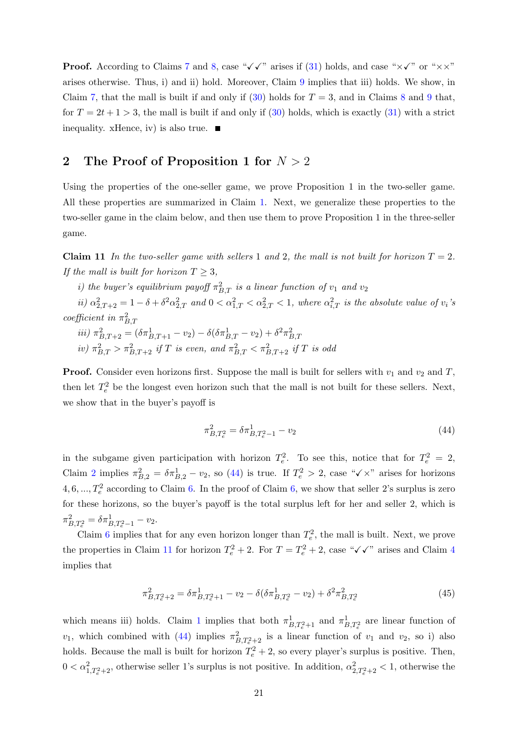**Proof.** According to Claims [7](#page-12-0) and [8,](#page-14-0) case " $\checkmark$   $\checkmark$ " arises if [\(31\)](#page-12-2) holds, and case " $\times\checkmark$ " or " $\times\times$ " arises otherwise. Thus, i) and ii) hold. Moreover, Claim [9](#page-15-0) implies that iii) holds. We show, in Claim [7,](#page-12-0) that the mall is built if and only if  $(30)$  holds for  $T = 3$ , and in Claims [8](#page-14-0) and [9](#page-15-0) that, for  $T = 2t + 1 > 3$ , the mall is built if and only if [\(30\)](#page-12-1) holds, which is exactly [\(31\)](#page-12-2) with a strict inequality. xHence, iv) is also true.  $\blacksquare$ 

## 2 The Proof of Proposition 1 for  $N > 2$

Using the properties of the one-seller game, we prove Proposition 1 in the two-seller game. All these properties are summarized in Claim [1.](#page-0-0) Next, we generalize these properties to the two-seller game in the claim below, and then use them to prove Proposition 1 in the three-seller game.

<span id="page-20-1"></span>**Claim 11** In the two-seller game with sellers 1 and 2, the mall is not built for horizon  $T = 2$ . If the mall is built for horizon  $T \geq 3$ ,

*i*) the buyer's equilibrium payoff  $\pi_{B,T}^2$  is a linear function of  $v_1$  and  $v_2$ 

 $ii)$   $\alpha_{2,T+2}^2 = 1 - \delta + \delta^2 \alpha_{2,T}^2$  and  $0 < \alpha_{1,T}^2 < \alpha_{2,T}^2 < 1$ , where  $\alpha_{i,T}^2$  is the absolute value of  $v_i$ 's coefficient in  $\pi_{B,T}^2$ 

iii)  $\pi^2_{B,T+2} = (\delta \pi^1_{B,T+1} - v_2) - \delta (\delta \pi^1_{B,T} - v_2) + \delta^2 \pi^2_{B,T}$ iv)  $\pi_{B,T}^2 > \pi_{B,T+2}^2$  if T is even, and  $\pi_{B,T}^2 < \pi_{B,T+2}^2$  if T is odd

**Proof.** Consider even horizons first. Suppose the mall is built for sellers with  $v_1$  and  $v_2$  and T, then let  $T_e^2$  be the longest even horizon such that the mall is not built for these sellers. Next, we show that in the buyer's payoff is

<span id="page-20-0"></span>
$$
\pi_{B,T_e^2}^2 = \delta \pi_{B,T_e^2 - 1}^1 - v_2 \tag{44}
$$

in the subgame given participation with horizon  $T_e^2$ . To see this, notice that for  $T_e^2 = 2$ , Claim [2](#page-2-0) implies  $\pi_{B,2}^2 = \delta \pi_{B,2}^1 - v_2$ , so [\(44\)](#page-20-0) is true. If  $T_e^2 > 2$ , case " $\checkmark \times$ " arises for horizons 4, [6,](#page-11-0) ...,  $T_e^2$  according to Claim [6.](#page-11-0) In the proof of Claim 6, we show that seller 2's surplus is zero for these horizons, so the buyer's payoff is the total surplus left for her and seller 2, which is  $\pi_{B,T_e^2}^2 = \delta \pi_{B,T_e^2-1}^1 - v_2.$ 

Claim [6](#page-11-0) implies that for any even horizon longer than  $T_e^2$ , the mall is built. Next, we prove the properties in Claim [11](#page-20-1) for horizon  $T_e^2 + 2$ . For  $T = T_e^2 + 2$ , case " $\checkmark \checkmark$ " arises and Claim [4](#page-3-4) implies that

<span id="page-20-2"></span>
$$
\pi_{B,T_e^2+2}^2 = \delta \pi_{B,T_e^2+1}^1 - v_2 - \delta(\delta \pi_{B,T_e^2}^1 - v_2) + \delta^2 \pi_{B,T_e^2}^2 \tag{45}
$$

which means iii) holds. Claim [1](#page-0-0) implies that both  $\pi^1_{B,T^2_e+1}$  and  $\pi^1_{B,T^2_e}$  are linear function of  $v_1$ , which combined with [\(44\)](#page-20-0) implies  $\pi^2_{B,T_e^2+2}$  is a linear function of  $v_1$  and  $v_2$ , so i) also holds. Because the mall is built for horizon  $T_e^2 + 2$ , so every player's surplus is positive. Then,  $0 < \alpha_{1,T_e^2+2}^2$ , otherwise seller 1's surplus is not positive. In addition,  $\alpha_{2,T_e^2+2}^2 < 1$ , otherwise the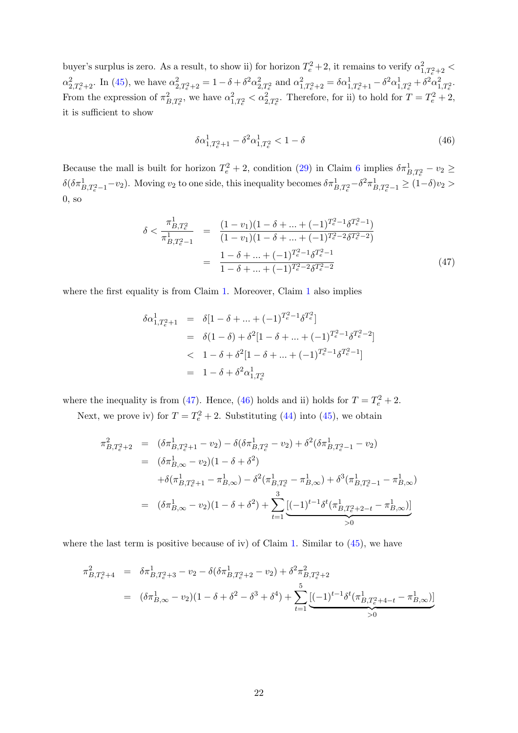buyer's surplus is zero. As a result, to show ii) for horizon  $T_e^2 + 2$ , it remains to verify  $\alpha_{1,T_e^2+2}^2$  <  $\alpha_{2,T_e^2+2}^2$ . In [\(45\)](#page-20-2), we have  $\alpha_{2,T_e^2+2}^2 = 1 - \delta + \delta^2 \alpha_{2,T_e^2}^2$  and  $\alpha_{1,T_e^2+2}^2 = \delta \alpha_{1,T_e^2+1}^1 - \delta^2 \alpha_{1,T_e^2}^1 + \delta^2 \alpha_{1,T_e^2}^2$ . From the expression of  $\pi^2_{B,T_e^2}$ , we have  $\alpha_{1,T_e^2}^2 < \alpha_{2,T_e^2}^2$ . Therefore, for ii) to hold for  $T = T_e^2 + 2$ , it is sufficient to show

<span id="page-21-1"></span>
$$
\delta \alpha^1_{1,T_e^2+1} - \delta^2 \alpha^1_{1,T_e^2} < 1 - \delta \tag{46}
$$

Because the mall is built for horizon  $T_e^2 + 2$ , condition [\(29\)](#page-11-1) in Claim [6](#page-11-0) implies  $\delta \pi_{B,T_e^2}^1 - v_2 \geq$  $\delta(\delta \pi^1_{B,T_e^2-1}-v_2)$ . Moving  $v_2$  to one side, this inequality becomes  $\delta \pi^1_{B,T_e^2}-\delta^2 \pi^1_{B,T_e^2-1} \ge (1-\delta)v_2 >$ 0, so

<span id="page-21-0"></span>
$$
\delta < \frac{\pi_{B,T_e^2}^1}{\pi_{B,T_e^2-1}^1} = \frac{(1-v_1)(1-\delta+\ldots+(-1)^{T_e^2-1}\delta^{T_e^2-1})}{(1-v_1)(1-\delta+\ldots+(-1)^{T_e^2-2}\delta^{T_e^2-2})}
$$
\n
$$
= \frac{1-\delta+\ldots+(-1)^{T_e^2-1}\delta^{T_e^2-1}}{1-\delta+\ldots+(-1)^{T_e^2-2}\delta^{T_e^2-2}} \tag{47}
$$

where the first equality is from Claim [1.](#page-0-0) Moreover, Claim [1](#page-0-0) also implies

<span id="page-21-2"></span>
$$
\delta \alpha_{1,T_e^2+1}^1 = \delta[1-\delta + \dots + (-1)^{T_e^2-1} \delta^{T_e^2}]
$$
  
\n
$$
= \delta(1-\delta) + \delta^2[1-\delta + \dots + (-1)^{T_e^2-1} \delta^{T_e^2-2}]
$$
  
\n
$$
< 1-\delta + \delta^2[1-\delta + \dots + (-1)^{T_e^2-1} \delta^{T_e^2-1}]
$$
  
\n
$$
= 1-\delta + \delta^2 \alpha_{1,T_e^2}^1
$$

where the inequality is from [\(47\)](#page-21-0). Hence, [\(46\)](#page-21-1) holds and ii) holds for  $T = T_e^2 + 2$ .

Next, we prove iv) for  $T = T_e^2 + 2$ . Substituting [\(44\)](#page-20-0) into [\(45\)](#page-20-2), we obtain

$$
\pi_{B,T_e^2+2}^2 = (\delta \pi_{B,T_e^2+1}^1 - v_2) - \delta(\delta \pi_{B,T_e^2}^1 - v_2) + \delta^2(\delta \pi_{B,T_e^2-1}^1 - v_2)
$$
  
\n
$$
= (\delta \pi_{B,\infty}^1 - v_2)(1 - \delta + \delta^2)
$$
  
\n
$$
+ \delta(\pi_{B,T_e^2+1}^1 - \pi_{B,\infty}^1) - \delta^2(\pi_{B,T_e^2}^1 - \pi_{B,\infty}^1) + \delta^3(\pi_{B,T_e^2-1}^1 - \pi_{B,\infty}^1)
$$
  
\n
$$
= (\delta \pi_{B,\infty}^1 - v_2)(1 - \delta + \delta^2) + \sum_{t=1}^3 \underbrace{[(-1)^{t-1} \delta^t(\pi_{B,T_e^2+2-t}^1 - \pi_{B,\infty}^1)]}_{>0}
$$

where the last term is positive because of iv) of Claim [1.](#page-0-0) Similar to  $(45)$ , we have

$$
\pi_{B,T_e^2+4}^2 = \delta \pi_{B,T_e^2+3}^1 - v_2 - \delta(\delta \pi_{B,T_e^2+2}^1 - v_2) + \delta^2 \pi_{B,T_e^2+2}^2
$$
  
= 
$$
(\delta \pi_{B,\infty}^1 - v_2)(1 - \delta + \delta^2 - \delta^3 + \delta^4) + \sum_{t=1}^5 \underbrace{[(-1)^{t-1} \delta^t (\pi_{B,T_e^2+4-t}^1 - \pi_{B,\infty}^1)]}_{>0}
$$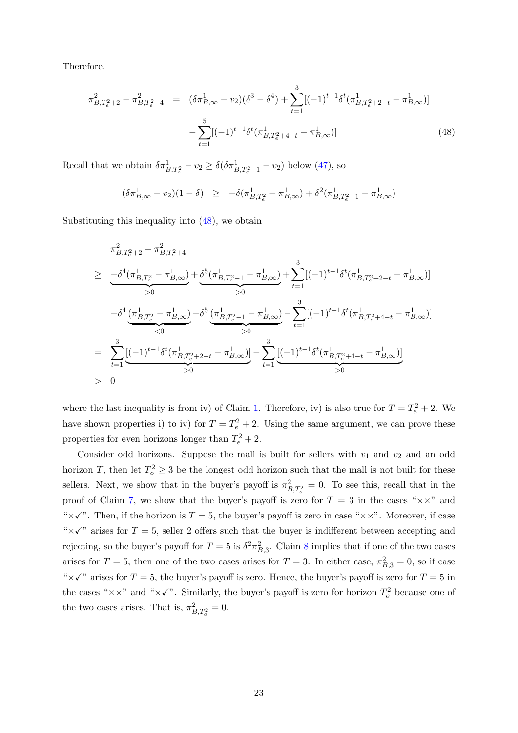Therefore,

$$
\pi_{B,T_e^2+2}^2 - \pi_{B,T_e^2+4}^2 = (\delta \pi_{B,\infty}^1 - v_2)(\delta^3 - \delta^4) + \sum_{t=1}^3 [(-1)^{t-1} \delta^t (\pi_{B,T_e^2+2-t}^1 - \pi_{B,\infty}^1)] - \sum_{t=1}^5 [(-1)^{t-1} \delta^t (\pi_{B,T_e^2+4-t}^1 - \pi_{B,\infty}^1)] \tag{48}
$$

Recall that we obtain  $\delta \pi_{B,T_e^2}^1 - v_2 \ge \delta(\delta \pi_{B,T_e^2-1}^1 - v_2)$  below [\(47\)](#page-21-0), so

<span id="page-22-0"></span>
$$
(\delta \pi_{B,\infty}^1 - v_2)(1 - \delta) \ge -\delta(\pi_{B,T_e^2}^1 - \pi_{B,\infty}^1) + \delta^2(\pi_{B,T_e^2-1}^1 - \pi_{B,\infty}^1)
$$

Substituting this inequality into [\(48\)](#page-21-2), we obtain

$$
\pi_{B,T_e^2+2}^2 - \pi_{B,T_e^2+4}^2
$$
\n
$$
\geq -\underbrace{\frac{-\delta^4(\pi_{B,T_e^2}^1 - \pi_{B,\infty}^1)}{>0} + \underbrace{\delta^5(\pi_{B,T_e^2-1}^1 - \pi_{B,\infty}^1)}_{>0} + \sum_{t=1}^3 [(-1)^{t-1} \delta^t(\pi_{B,T_e^2+2-t}^1 - \pi_{B,\infty}^1)]
$$
\n
$$
+ \delta^4 \underbrace{(\pi_{B,T_e^2}^1 - \pi_{B,\infty}^1)}_{<0} - \delta^5 \underbrace{(\pi_{B,T_e^2-1}^1 - \pi_{B,\infty}^1)}_{>0} - \sum_{t=1}^3 [(-1)^{t-1} \delta^t(\pi_{B,T_e^2+4-t}^1 - \pi_{B,\infty}^1)]
$$
\n
$$
= \sum_{t=1}^3 \underbrace{[(-1)^{t-1} \delta^t(\pi_{B,T_e^2+2-t}^1 - \pi_{B,\infty}^1)]}_{>0} - \sum_{t=1}^3 \underbrace{[(-1)^{t-1} \delta^t(\pi_{B,T_e^2+4-t}^1 - \pi_{B,\infty}^1)]}_{>0}
$$
\n
$$
> 0
$$

where the last inequality is from iv) of Claim [1.](#page-0-0) Therefore, iv) is also true for  $T = T_e^2 + 2$ . We have shown properties i) to iv) for  $T = T_e^2 + 2$ . Using the same argument, we can prove these properties for even horizons longer than  $T_e^2 + 2$ .

Consider odd horizons. Suppose the mall is built for sellers with  $v_1$  and  $v_2$  and an odd horizon T, then let  $T_o^2 \geq 3$  be the longest odd horizon such that the mall is not built for these sellers. Next, we show that in the buyer's payoff is  $\pi^2_{B,T_o^2} = 0$ . To see this, recall that in the proof of Claim [7,](#page-12-0) we show that the buyer's payoff is zero for  $T = 3$  in the cases " $\times \times$ " and " $\times\checkmark$ ". Then, if the horizon is  $T = 5$ , the buyer's payoff is zero in case " $\times\times$ ". Moreover, if case " $\times$  " $\times$ " arises for T = 5, seller 2 offers such that the buyer is indifferent between accepting and rejecting, so the buyer's payoff for  $T = 5$  is  $\delta^2 \pi_{B,3}^2$ . Claim [8](#page-14-0) implies that if one of the two cases arises for  $T = 5$ , then one of the two cases arises for  $T = 3$ . In either case,  $\pi_{B,3}^2 = 0$ , so if case " $\times$  " $\times$ " arises for T = 5, the buyer's payoff is zero. Hence, the buyer's payoff is zero for T = 5 in the cases " $\times\times$ " and " $\times\times$ ". Similarly, the buyer's payoff is zero for horizon  $T_o^2$  because one of the two cases arises. That is,  $\pi^2_{B,T_o^2} = 0$ .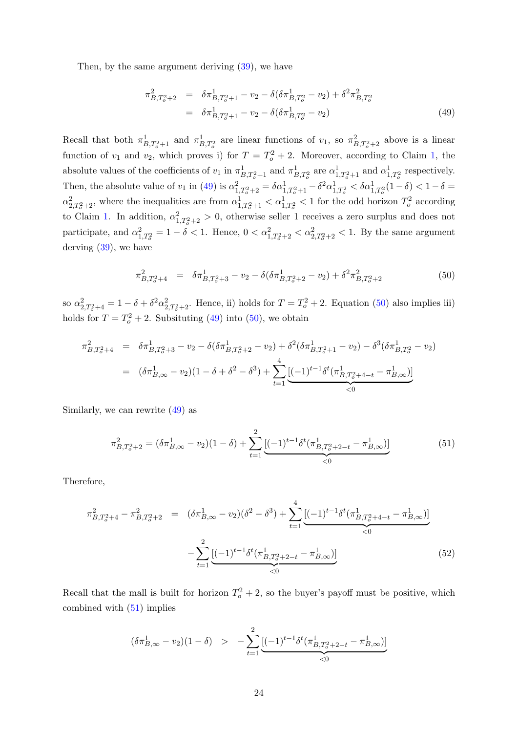Then, by the same argument deriving [\(39\)](#page-17-1), we have

$$
\pi_{B,T_o^2+2}^2 = \delta \pi_{B,T_o^2+1}^1 - v_2 - \delta (\delta \pi_{B,T_o^2}^1 - v_2) + \delta^2 \pi_{B,T_o^2}^2
$$
  
=  $\delta \pi_{B,T_o^2+1}^1 - v_2 - \delta (\delta \pi_{B,T_o^2}^1 - v_2)$  (49)

Recall that both  $\pi^1_{B,T_o^2+1}$  and  $\pi^1_{B,T_o^2}$  are linear functions of  $v_1$ , so  $\pi^2_{B,T_o^2+2}$  above is a linear function of  $v_1$  and  $v_2$ , which proves i) for  $T = T_o^2 + 2$ . Moreover, according to Claim [1,](#page-0-0) the absolute values of the coefficients of  $v_1$  in  $\pi^1_{B,T_o^2+1}$  and  $\pi^1_{B,T_o^2}$  are  $\alpha^1_{1,T_o^2+1}$  and  $\alpha^1_{1,T_o^2}$  respectively. Then, the absolute value of  $v_1$  in [\(49\)](#page-22-0) is  $\alpha_{1,T_o^2+2}^2 = \delta \alpha_{1,T_o^2+1}^1 - \delta^2 \alpha_{1,T_o^2}^1 < \delta \alpha_{1,T_o^2}^1 (1 - \delta) < 1 - \delta =$  $\alpha_{2,T_o^2+2}^2$ , where the inequalities are from  $\alpha_{1,T_o^2+1}^1 < \alpha_{1,T_o^2}^1 < 1$  for the odd horizon  $T_o^2$  according to Claim [1.](#page-0-0) In addition,  $\alpha_{1,T_o^2+2}^2 > 0$ , otherwise seller 1 receives a zero surplus and does not participate, and  $\alpha_{1,T_o^2}^2 = 1 - \delta < 1$ . Hence,  $0 < \alpha_{1,T_o^2+2}^2 < \alpha_{2,T_o^2+2}^2 < 1$ . By the same argument derving [\(39\)](#page-17-1), we have

<span id="page-23-0"></span>
$$
\pi_{B,T_o^2+4}^2 = \delta \pi_{B,T_o^2+3}^1 - v_2 - \delta(\delta \pi_{B,T_o^2+2}^1 - v_2) + \delta^2 \pi_{B,T_o^2+2}^2 \tag{50}
$$

so  $\alpha_{2,T_o^2+4}^2 = 1 - \delta + \delta^2 \alpha_{2,T_o^2+2}^2$ . Hence, ii) holds for  $T = T_o^2 + 2$ . Equation [\(50\)](#page-23-0) also implies iii) holds for  $T = T_o^2 + 2$ . Subsituting [\(49\)](#page-22-0) into [\(50\)](#page-23-0), we obtain

<span id="page-23-1"></span>
$$
\pi_{B,T_o^2+4}^2 = \delta \pi_{B,T_o^2+3}^1 - v_2 - \delta(\delta \pi_{B,T_o^2+2}^1 - v_2) + \delta^2(\delta \pi_{B,T_o^2+1}^1 - v_2) - \delta^3(\delta \pi_{B,T_o^2}^1 - v_2)
$$
  
= 
$$
(\delta \pi_{B,\infty}^1 - v_2)(1 - \delta + \delta^2 - \delta^3) + \sum_{t=1}^4 \underbrace{[(-1)^{t-1} \delta^t(\pi_{B,T_o^2+4-t}^1 - \pi_{B,\infty}^1)]}_{\leq 0}
$$

Similarly, we can rewrite [\(49\)](#page-22-0) as

$$
\pi_{B,T_o^2+2}^2 = (\delta \pi_{B,\infty}^1 - v_2)(1 - \delta) + \sum_{t=1}^2 \underbrace{[(-1)^{t-1} \delta^t (\pi_{B,T_o^2+2-t}^1 - \pi_{B,\infty}^1)]}_{\leq 0} \tag{51}
$$

Therefore,

<span id="page-23-2"></span>
$$
\pi_{B,T_o^2+4}^2 - \pi_{B,T_o^2+2}^2 = (\delta \pi_{B,\infty}^1 - v_2)(\delta^2 - \delta^3) + \sum_{t=1}^4 \underbrace{[(-1)^{t-1} \delta^t (\pi_{B,T_o^2+4-t}^1 - \pi_{B,\infty}^1)]}_{\leq 0}
$$
\n
$$
- \sum_{t=1}^2 \underbrace{[(-1)^{t-1} \delta^t (\pi_{B,T_o^2+2-t}^1 - \pi_{B,\infty}^1)]}_{\leq 0}
$$
\n
$$
(52)
$$

Recall that the mall is built for horizon  $T_o^2 + 2$ , so the buyer's payoff must be positive, which combined with [\(51\)](#page-23-1) implies

<span id="page-23-3"></span>
$$
(\delta \pi_{B,\infty}^1 - v_2)(1 - \delta) > - \sum_{t=1}^2 \underbrace{[(-1)^{t-1} \delta^t (\pi_{B,T_o^2 + 2 - t}^1 - \pi_{B,\infty}^1)]}_{<0}
$$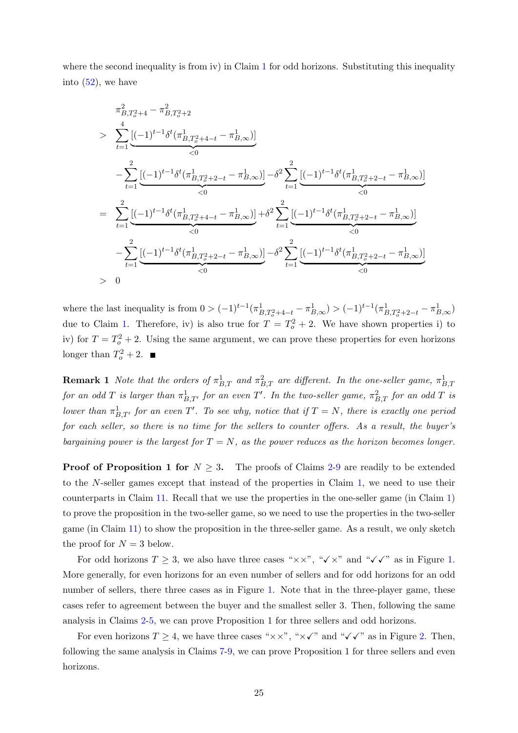where the second inequality is from iv) in Claim  $1$  for odd horizons. Substituting this inequality into  $(52)$ , we have

$$
\pi_{B,T_o^2+4}^2 - \pi_{B,T_o^2+2}^2
$$
\n
$$
> \sum_{t=1}^4 \underbrace{\left[(-1)^{t-1} \delta^t (\pi_{B,T_o^2+4-t}^1 - \pi_{B,\infty}^1) \right]}_{< 0}
$$
\n
$$
- \sum_{t=1}^2 \underbrace{\left[(-1)^{t-1} \delta^t (\pi_{B,T_o^2+2-t}^1 - \pi_{B,\infty}^1) \right]}_{< 0} - \delta^2 \sum_{t=1}^2 \underbrace{\left[(-1)^{t-1} \delta^t (\pi_{B,T_o^2+2-t}^1 - \pi_{B,\infty}^1) \right]}_{< 0}
$$
\n
$$
= \sum_{t=1}^2 \underbrace{\left[(-1)^{t-1} \delta^t (\pi_{B,T_o^2+4-t}^1 - \pi_{B,\infty}^1) \right]}_{< 0} + \delta^2 \sum_{t=1}^2 \underbrace{\left[(-1)^{t-1} \delta^t (\pi_{B,T_o^2+2-t}^1 - \pi_{B,\infty}^1) \right]}_{< 0}
$$
\n
$$
- \sum_{t=1}^2 \underbrace{\left[(-1)^{t-1} \delta^t (\pi_{B,T_o^2+2-t}^1 - \pi_{B,\infty}^1) \right]}_{< 0} - \delta^2 \sum_{t=1}^2 \underbrace{\left[(-1)^{t-1} \delta^t (\pi_{B,T_o^2+2-t}^1 - \pi_{B,\infty}^1) \right]}_{< 0}
$$
\n
$$
> 0
$$

where the last inequality is from  $0 > (-1)^{t-1} (\pi^1_{B,T_o^2+4-t} - \pi^1_{B,\infty}) > (-1)^{t-1} (\pi^1_{B,T_o^2+2-t} - \pi^1_{B,\infty})$ due to Claim [1.](#page-0-0) Therefore, iv) is also true for  $T = T_0^2 + 2$ . We have shown properties i) to iv) for  $T = T_o^2 + 2$ . Using the same argument, we can prove these properties for even horizons longer than  $T_o^2 + 2$ .

**Remark 1** Note that the orders of  $\pi_{B,T}^1$  and  $\pi_{B,T}^2$  are different. In the one-seller game,  $\pi_{B,T}^1$ for an odd T is larger than  $\pi^1_{B,T'}$  for an even T'. In the two-seller game,  $\pi^2_{B,T}$  for an odd T is lower than  $\pi^1_{B,T'}$  for an even T'. To see why, notice that if  $T = N$ , there is exactly one period for each seller, so there is no time for the sellers to counter offers. As a result, the buyer's bargaining power is the largest for  $T = N$ , as the power reduces as the horizon becomes longer.

**Proof of Proposition 1 for**  $N \geq 3$ . The proofs of Claims [2](#page-2-0)[-9](#page-15-0) are readily to be extended to the N-seller games except that instead of the properties in Claim [1,](#page-0-0) we need to use their counterparts in Claim [11.](#page-20-1) Recall that we use the properties in the one-seller game (in Claim [1\)](#page-0-0) to prove the proposition in the two-seller game, so we need to use the properties in the two-seller game (in Claim [11\)](#page-20-1) to show the proposition in the three-seller game. As a result, we only sketch the proof for  $N = 3$  below.

For odd horizons  $T \geq 3$ , we also have three cases " $\times \times$ ", " $\times \times$ " and " $\times \times$ " as in Figure [1.](#page-2-1) More generally, for even horizons for an even number of sellers and for odd horizons for an odd number of sellers, there three cases as in Figure [1.](#page-2-1) Note that in the three-player game, these cases refer to agreement between the buyer and the smallest seller 3. Then, following the same analysis in Claims [2-](#page-2-0)[5,](#page-8-0) we can prove Proposition 1 for three sellers and odd horizons.

For even horizons  $T \geq 4$ , we have three cases " $\times \times$ ", " $\times \checkmark$ " and " $\checkmark \checkmark$ " as in Figure [2.](#page-2-1) Then, following the same analysis in Claims [7-](#page-12-0)[9,](#page-15-0) we can prove Proposition 1 for three sellers and even horizons.